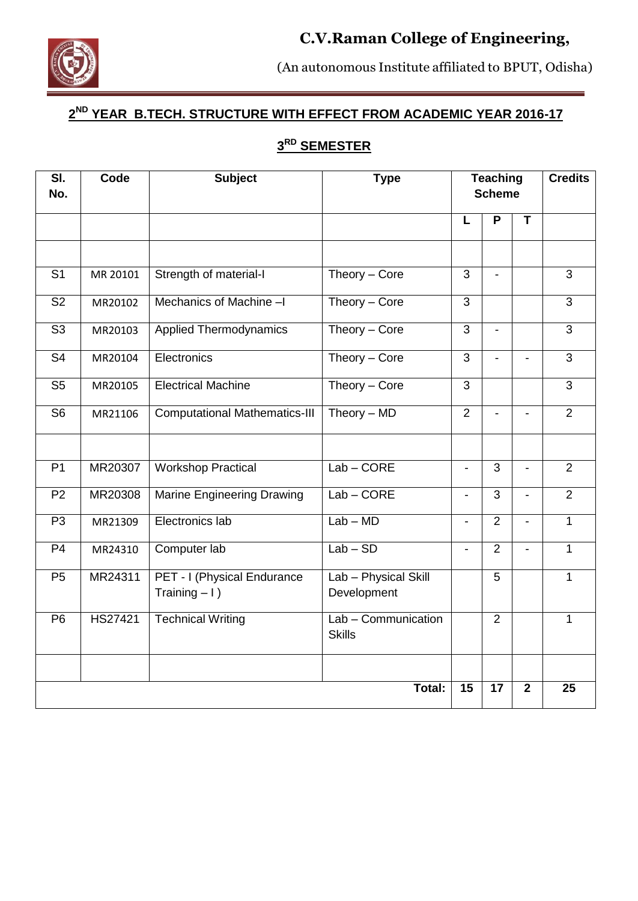# **C.V.Raman College of Engineering,**



(An autonomous Institute affiliated to BPUT, Odisha)

Bidyanagar, Mahura, Janla, Bhubaneswar - 752 054 (Orissa)

# **2 ND YEAR B.TECH. STRUCTURE WITH EFFECT FROM ACADEMIC YEAR 2016-17**

# **3 RD SEMESTER**

| $\overline{\mathsf{SI}}$ .<br>No. | Code     | <b>Subject</b>                                 | <b>Type</b>                          | <b>Teaching</b><br><b>Scheme</b> |                 | <b>Credits</b>           |                |
|-----------------------------------|----------|------------------------------------------------|--------------------------------------|----------------------------------|-----------------|--------------------------|----------------|
|                                   |          |                                                |                                      | L                                | P               | T                        |                |
|                                   |          |                                                |                                      |                                  |                 |                          |                |
| S <sub>1</sub>                    | MR 20101 | Strength of material-I                         | Theory - Core                        | 3                                | $\blacksquare$  |                          | $\overline{3}$ |
| S <sub>2</sub>                    | MR20102  | Mechanics of Machine-I                         | Theory - Core                        | $\mathfrak{S}$                   |                 |                          | $\overline{3}$ |
| S <sub>3</sub>                    | MR20103  | <b>Applied Thermodynamics</b>                  | Theory - Core                        | $\mathfrak{S}$                   |                 |                          | 3              |
| $\overline{\mathsf{S}4}$          | MR20104  | Electronics                                    | Theory - Core                        | $\overline{3}$                   |                 |                          | $\overline{3}$ |
| S <sub>5</sub>                    | MR20105  | <b>Electrical Machine</b>                      | Theory - Core                        | $\overline{3}$                   |                 |                          | $\overline{3}$ |
| S <sub>6</sub>                    | MR21106  | <b>Computational Mathematics-III</b>           | Theory $-$ MD                        | $\overline{2}$                   | $\overline{a}$  | $\overline{a}$           | $\overline{2}$ |
|                                   |          |                                                |                                      |                                  |                 |                          |                |
| P <sub>1</sub>                    | MR20307  | <b>Workshop Practical</b>                      | $Lab$ – $CORE$                       | $\overline{\phantom{0}}$         | 3               | $\overline{\phantom{0}}$ | $\overline{2}$ |
| P <sub>2</sub>                    | MR20308  | <b>Marine Engineering Drawing</b>              | $Lab$ – $CORE$                       | $\overline{\phantom{0}}$         | $\overline{3}$  |                          | $\overline{2}$ |
| P <sub>3</sub>                    | MR21309  | Electronics lab                                | $Lab - MD$                           | $\blacksquare$                   | $\overline{2}$  | $\blacksquare$           | $\mathbf{1}$   |
| P <sub>4</sub>                    | MR24310  | Computer lab                                   | $Lab - SD$                           | $\blacksquare$                   | $\overline{2}$  | $\blacksquare$           | $\overline{1}$ |
| P <sub>5</sub>                    | MR24311  | PET - I (Physical Endurance<br>Training $-1$ ) | Lab - Physical Skill<br>Development  |                                  | 5               |                          | 1              |
| P <sub>6</sub>                    | HS27421  | <b>Technical Writing</b>                       | Lab - Communication<br><b>Skills</b> |                                  | $\overline{2}$  |                          | 1              |
|                                   |          |                                                |                                      |                                  |                 |                          |                |
|                                   |          |                                                | Total:                               | 15                               | $\overline{17}$ | $\overline{\mathbf{2}}$  | 25             |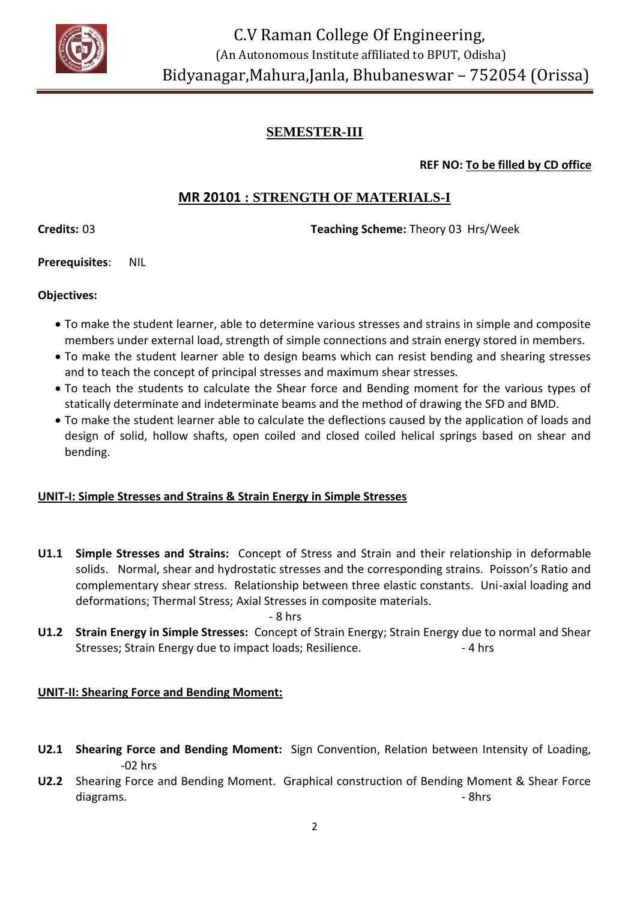

**REF NO: To be filled by CD office**

# **MR 20101 : STRENGTH OF MATERIALS-I**

**Credits:** 03 **Teaching Scheme:** Theory 03 Hrs/Week

**Prerequisites**: NIL

**Objectives:**

- To make the student learner, able to determine various stresses and strains in simple and composite members under external load, strength of simple connections and strain energy stored in members.
- To make the student learner able to design beams which can resist bending and shearing stresses and to teach the concept of principal stresses and maximum shear stresses.
- To teach the students to calculate the Shear force and Bending moment for the various types of statically determinate and indeterminate beams and the method of drawing the SFD and BMD.
- To make the student learner able to calculate the deflections caused by the application of loads and design of solid, hollow shafts, open coiled and closed coiled helical springs based on shear and bending.

# **UNIT-I: Simple Stresses and Strains & Strain Energy in Simple Stresses**

**U1.1 Simple Stresses and Strains:** Concept of Stress and Strain and their relationship in deformable solids. Normal, shear and hydrostatic stresses and the corresponding strains. Poisson's Ratio and complementary shear stress. Relationship between three elastic constants. Uni-axial loading and deformations; Thermal Stress; Axial Stresses in composite materials.

- 8 hrs

**U1.2 Strain Energy in Simple Stresses:** Concept of Strain Energy; Strain Energy due to normal and Shear Stresses; Strain Energy due to impact loads; Resilience. 4 hrs

# **UNIT-II: Shearing Force and Bending Moment:**

- **U2.1 Shearing Force and Bending Moment:** Sign Convention, Relation between Intensity of Loading, -02 hrs
- **U2.2** Shearing Force and Bending Moment. Graphical construction of Bending Moment & Shear Force diagrams. **- 8hrs** and 2000 and 2000 and 2000 and 2000 and 2000 and 2000 and 2000 and 2000 and 2000 and 2000 and 2000 and 2000 and 2000 and 2000 and 2000 and 2000 and 2000 and 2000 and 2000 and 2000 and 2000 and 2000 and 2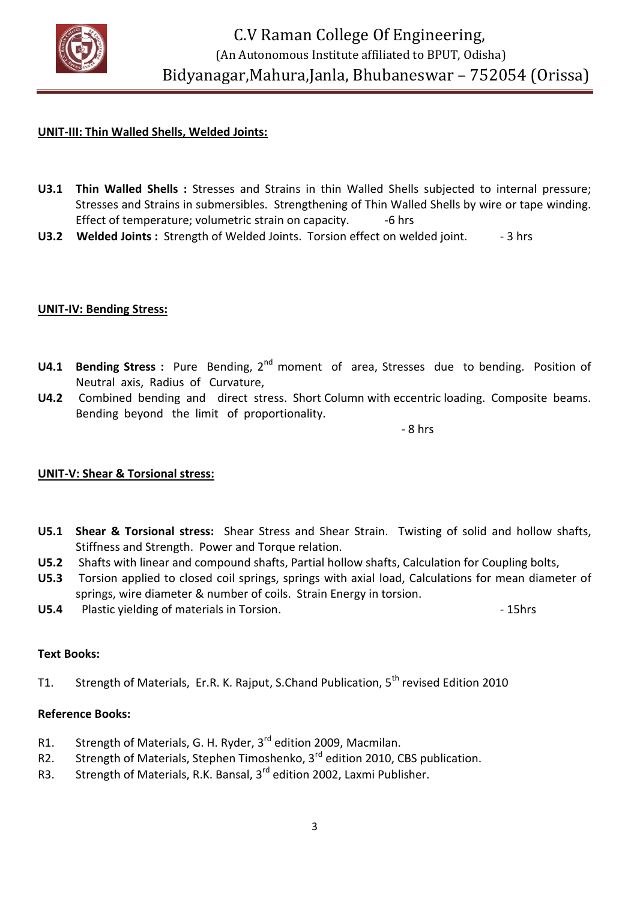

#### **UNIT-III: Thin Walled Shells, Welded Joints:**

- **U3.1 Thin Walled Shells :** Stresses and Strains in thin Walled Shells subjected to internal pressure; Stresses and Strains in submersibles. Strengthening of Thin Walled Shells by wire or tape winding. Effect of temperature; volumetric strain on capacity. ---------------------------
- **U3.2 Welded Joints :** Strength of Welded Joints. Torsion effect on welded joint. 3 hrs

#### **UNIT-IV: Bending Stress:**

- **U4.1 Bending Stress :** Pure Bending, 2nd moment of area, Stresses due to bending. Position of Neutral axis, Radius of Curvature,
- **U4.2** Combined bending and direct stress. Short Column with eccentric loading. Composite beams. Bending beyond the limit of proportionality.

 $-$  8 hrs  $-$  8 hrs  $-$  8 hrs  $-$ 

#### **UNIT-V: Shear & Torsional stress:**

- **U5.1 Shear & Torsional stress:** Shear Stress and Shear Strain. Twisting of solid and hollow shafts, Stiffness and Strength. Power and Torque relation.
- **U5.2** Shafts with linear and compound shafts, Partial hollow shafts, Calculation for Coupling bolts,
- **U5.3** Torsion applied to closed coil springs, springs with axial load, Calculations for mean diameter of springs, wire diameter & number of coils. Strain Energy in torsion.
- **U5.4** Plastic yielding of materials in Torsion.  $\blacksquare$

#### **Text Books:**

T1. Strength of Materials, Er.R. K. Rajput, S.Chand Publication, 5<sup>th</sup> revised Edition 2010

#### **Reference Books:**

- R1. Strength of Materials, G. H. Ryder, 3<sup>rd</sup> edition 2009, Macmilan.
- R2. Strength of Materials, Stephen Timoshenko, 3<sup>rd</sup> edition 2010, CBS publication.
- R3. Strength of Materials, R.K. Bansal, 3<sup>rd</sup> edition 2002, Laxmi Publisher.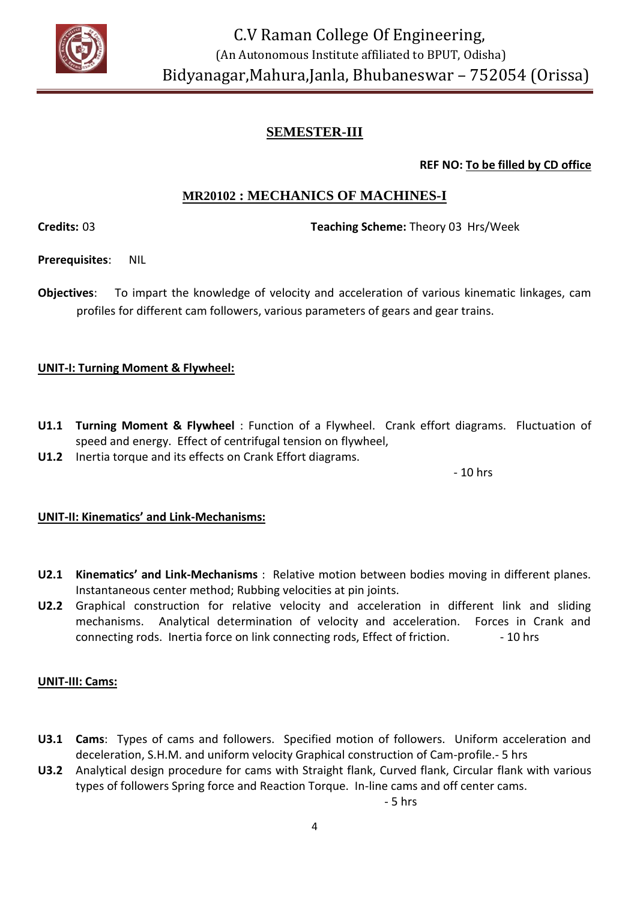

**REF NO: To be filled by CD office**

# **MR20102 : MECHANICS OF MACHINES-I**

**Credits:** 03 **Teaching Scheme:** Theory 03 Hrs/Week

**Prerequisites**: NIL

**Objectives**: To impart the knowledge of velocity and acceleration of various kinematic linkages, cam profiles for different cam followers, various parameters of gears and gear trains.

### **UNIT-I: Turning Moment & Flywheel:**

- **U1.1 Turning Moment & Flywheel** : Function of a Flywheel. Crank effort diagrams. Fluctuation of speed and energy. Effect of centrifugal tension on flywheel,
- **U1.2** Inertia torque and its effects on Crank Effort diagrams.

- 10 hrs

#### **UNIT-II: Kinematics' and Link-Mechanisms:**

- **U2.1 Kinematics' and Link-Mechanisms** : Relative motion between bodies moving in different planes. Instantaneous center method; Rubbing velocities at pin joints.
- **U2.2** Graphical construction for relative velocity and acceleration in different link and sliding mechanisms. Analytical determination of velocity and acceleration. Forces in Crank and connecting rods. Inertia force on link connecting rods, Effect of friction. - 10 hrs

# **UNIT-III: Cams:**

- **U3.1 Cams**: Types of cams and followers. Specified motion of followers. Uniform acceleration and deceleration, S.H.M. and uniform velocity Graphical construction of Cam-profile.- 5 hrs
- **U3.2** Analytical design procedure for cams with Straight flank, Curved flank, Circular flank with various types of followers Spring force and Reaction Torque. In-line cams and off center cams.

- 5 hrs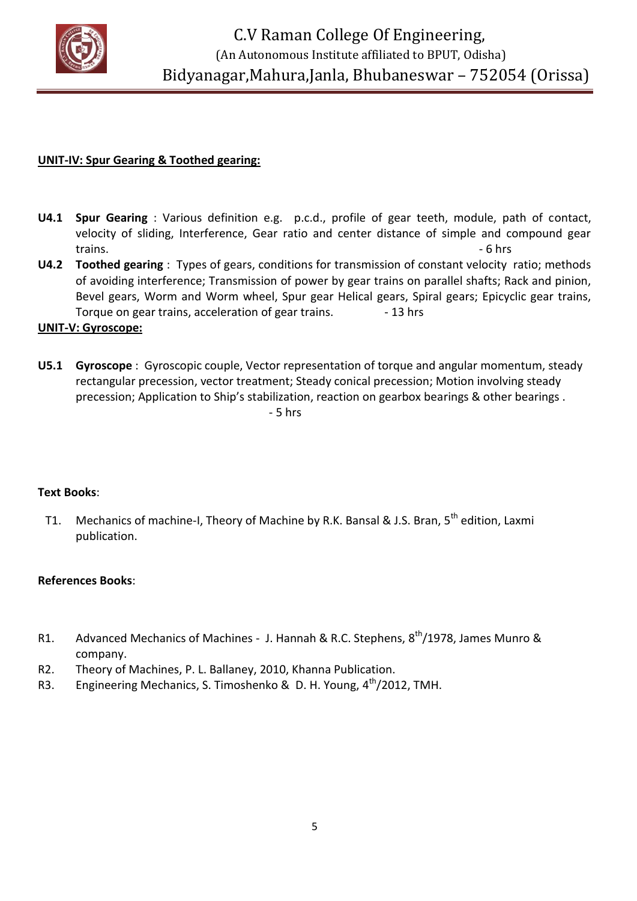

#### **UNIT-IV: Spur Gearing & Toothed gearing:**

- **U4.1 Spur Gearing** : Various definition e.g. p.c.d., profile of gear teeth, module, path of contact, velocity of sliding, Interference, Gear ratio and center distance of simple and compound gear trains. **Example 20** and the set of the set of the set of the set of the set of the set of the set of the set of the set of the set of the set of the set of the set of the set of the set of the set of the set of the set of
- **U4.2 Toothed gearing** : Types of gears, conditions for transmission of constant velocity ratio; methods of avoiding interference; Transmission of power by gear trains on parallel shafts; Rack and pinion, Bevel gears, Worm and Worm wheel, Spur gear Helical gears, Spiral gears; Epicyclic gear trains, Torque on gear trains, acceleration of gear trains.  $\frac{13 \text{ hrs}}{13 \text{ hrs}}$

#### **UNIT-V: Gyroscope:**

**U5.1 Gyroscope** : Gyroscopic couple, Vector representation of torque and angular momentum, steady rectangular precession, vector treatment; Steady conical precession; Motion involving steady precession; Application to Ship's stabilization, reaction on gearbox bearings & other bearings. - 5 hrs

#### **Text Books**:

T1. Mechanics of machine-I, Theory of Machine by R.K. Bansal & J.S. Bran, 5<sup>th</sup> edition, Laxmi publication.

#### **References Books**:

- R1. Advanced Mechanics of Machines J. Hannah & R.C. Stephens, 8<sup>th</sup>/1978, James Munro & company.
- R2. Theory of Machines, P. L. Ballaney, 2010, Khanna Publication.
- R3. Engineering Mechanics, S. Timoshenko & D. H. Young, 4<sup>th</sup>/2012, TMH.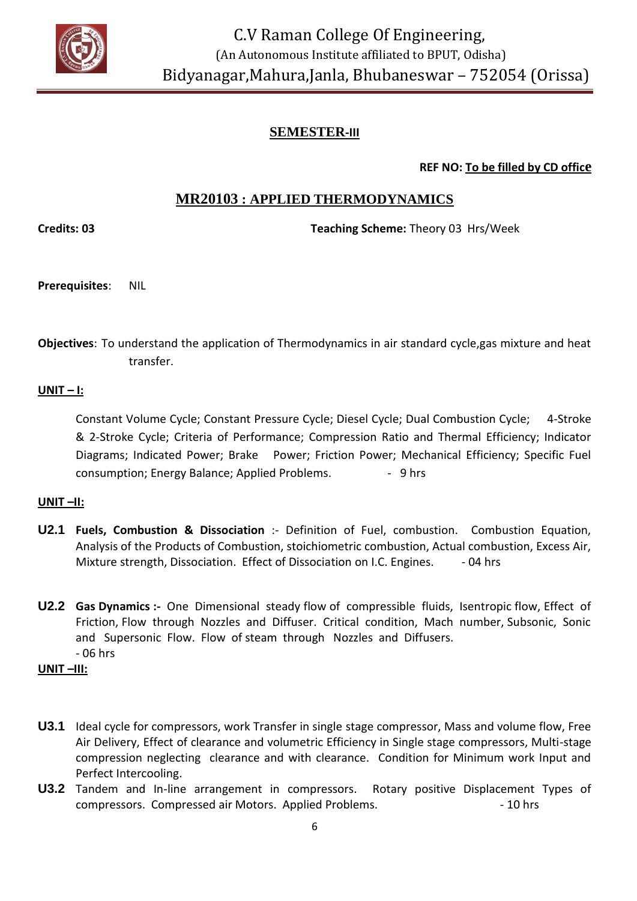

**REF NO: To be filled by CD office**

# **MR20103 : APPLIED THERMODYNAMICS**

**Credits: 03 Teaching Scheme:** Theory 03 Hrs/Week

- **Prerequisites**: NIL
- **Objectives**: To understand the application of Thermodynamics in air standard cycle,gas mixture and heat transfer.

#### **UNIT – I:**

Constant Volume Cycle; Constant Pressure Cycle; Diesel Cycle; Dual Combustion Cycle; 4-Stroke & 2-Stroke Cycle; Criteria of Performance; Compression Ratio and Thermal Efficiency; Indicator Diagrams; Indicated Power; Brake Power; Friction Power; Mechanical Efficiency; Specific Fuel consumption; Energy Balance; Applied Problems. 4 - 9 hrs

#### **UNIT –II:**

- **U2.1 Fuels, Combustion & Dissociation** :- Definition of Fuel, combustion. Combustion Equation, Analysis of the Products of Combustion, stoichiometric combustion, Actual combustion, Excess Air, Mixture strength, Dissociation. Effect of Dissociation on I.C. Engines. - 04 hrs
- **U2.2 Gas Dynamics :-** One Dimensional steady flow of compressible fluids, Isentropic flow, Effect of Friction, Flow through Nozzles and Diffuser. Critical condition, Mach number, Subsonic, Sonic and Supersonic Flow. Flow of steam through Nozzles and Diffusers. - 06 hrs

#### **UNIT –III:**

- **U3.1** Ideal cycle for compressors, work Transfer in single stage compressor, Mass and volume flow, Free Air Delivery, Effect of clearance and volumetric Efficiency in Single stage compressors, Multi-stage compression neglecting clearance and with clearance. Condition for Minimum work Input and Perfect Intercooling.
- **U3.2** Tandem and In-line arrangement in compressors. Rotary positive Displacement Types of compressors. Compressed air Motors. Applied Problems.  $\sim$  10 hrs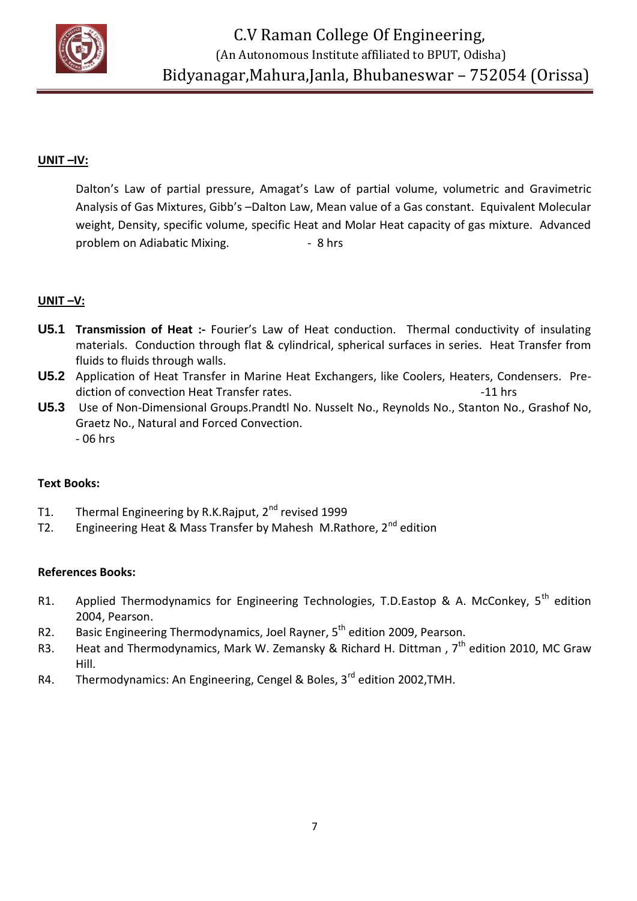

#### **UNIT –IV:**

Dalton's Law of partial pressure, Amagat's Law of partial volume, volumetric and Gravimetric Analysis of Gas Mixtures, Gibb's –Dalton Law, Mean value of a Gas constant. Equivalent Molecular weight, Density, specific volume, specific Heat and Molar Heat capacity of gas mixture. Advanced problem on Adiabatic Mixing. **- 8 hrs** 

#### **UNIT –V:**

- **U5.1 Transmission of Heat :-** Fourier's Law of Heat conduction. Thermal conductivity of insulating materials. Conduction through flat & cylindrical, spherical surfaces in series. Heat Transfer from fluids to fluids through walls.
- **U5.2** Application of Heat Transfer in Marine Heat Exchangers, like Coolers, Heaters, Condensers. Prediction of convection Heat Transfer rates. The state of the state of the state of the state of the state of the state of the state of the state of the state of the state of the state of the state of the state of the state
- **U5.3** Use of Non-Dimensional Groups.Prandtl No. Nusselt No., Reynolds No., Stanton No., Grashof No, Graetz No., Natural and Forced Convection. - 06 hrs

#### **Text Books:**

- T1. Thermal Engineering by R.K.Rajput, 2<sup>nd</sup> revised 1999
- T2. Engineering Heat & Mass Transfer by Mahesh M.Rathore,  $2^{nd}$  edition

#### **References Books:**

- R1. Applied Thermodynamics for Engineering Technologies, T.D.Eastop & A. McConkey, 5<sup>th</sup> edition 2004, Pearson.
- R2. Basic Engineering Thermodynamics, Joel Rayner, 5<sup>th</sup> edition 2009. Pearson.
- R3. Heat and Thermodynamics, Mark W. Zemansky & Richard H. Dittman,  $7^{th}$  edition 2010, MC Graw Hill.
- R4. Thermodynamics: An Engineering, Cengel & Boles, 3<sup>rd</sup> edition 2002, TMH.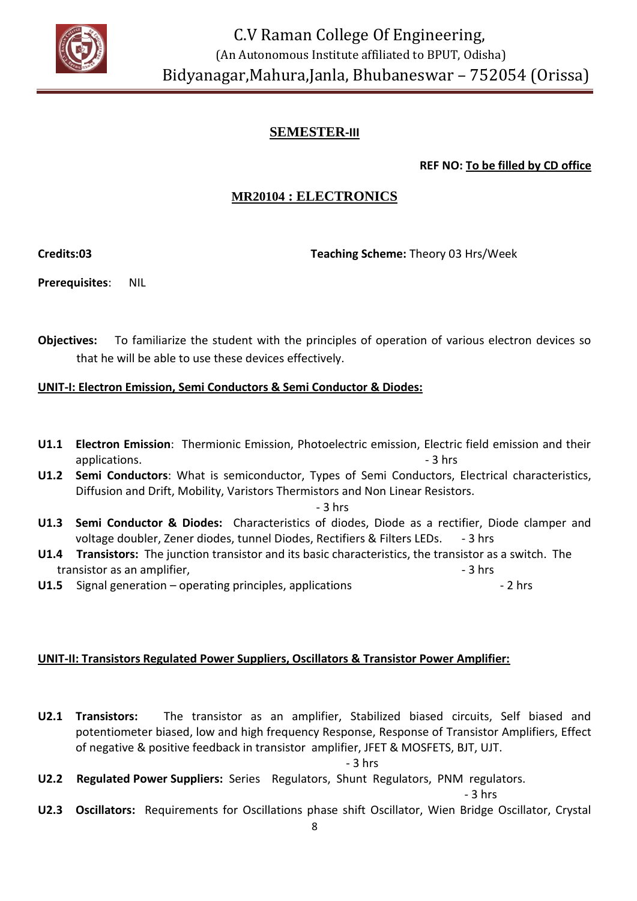

**REF NO: To be filled by CD office**

# **MR20104 : ELECTRONICS**

**Credits:03 Teaching Scheme:** Theory 03 Hrs/Week

**Prerequisites**: NIL

**Objectives:** To familiarize the student with the principles of operation of various electron devices so that he will be able to use these devices effectively.

#### **UNIT-I: Electron Emission, Semi Conductors & Semi Conductor & Diodes:**

- **U1.1 Electron Emission**: Thermionic Emission, Photoelectric emission, Electric field emission and their applications. **Example 2** applications. **applications** and  $\overline{a}$  and  $\overline{b}$  and  $\overline{c}$  and  $\overline{a}$  and  $\overline{a}$  and  $\overline{a}$  and  $\overline{a}$  and  $\overline{a}$  and  $\overline{a}$  and  $\overline{a}$  and  $\overline{a}$  and  $\overline{a}$  and  $\overline{a}$
- **U1.2 Semi Conductors**: What is semiconductor, Types of Semi Conductors, Electrical characteristics, Diffusion and Drift, Mobility, Varistors Thermistors and Non Linear Resistors.

- 3 hrs

- **U1.3 Semi Conductor & Diodes:** Characteristics of diodes, Diode as a rectifier, Diode clamper and voltage doubler, Zener diodes, tunnel Diodes, Rectifiers & Filters LEDs. - 3 hrs
- **U1.4 Transistors:** The junction transistor and its basic characteristics, the transistor as a switch. The transistor as an amplifier. The same state of the state of the state of the state of the state of the state of the state of the state of the state of the state of the state of the state of the state of the state of the sta
- **U1.5** Signal generation operating principles, applications  **2 hrs** 2 hrs

#### **UNIT-II: Transistors Regulated Power Suppliers, Oscillators & Transistor Power Amplifier:**

**U2.1 Transistors:** The transistor as an amplifier, Stabilized biased circuits, Self biased and potentiometer biased, low and high frequency Response, Response of Transistor Amplifiers, Effect of negative & positive feedback in transistor amplifier, JFET & MOSFETS, BJT, UJT.

 $-3$  hrs

**U2.2 Regulated Power Suppliers:** Series Regulators, Shunt Regulators, PNM regulators.

 $-3$  hrs

**U2.3 Oscillators:** Requirements for Oscillations phase shift Oscillator, Wien Bridge Oscillator, Crystal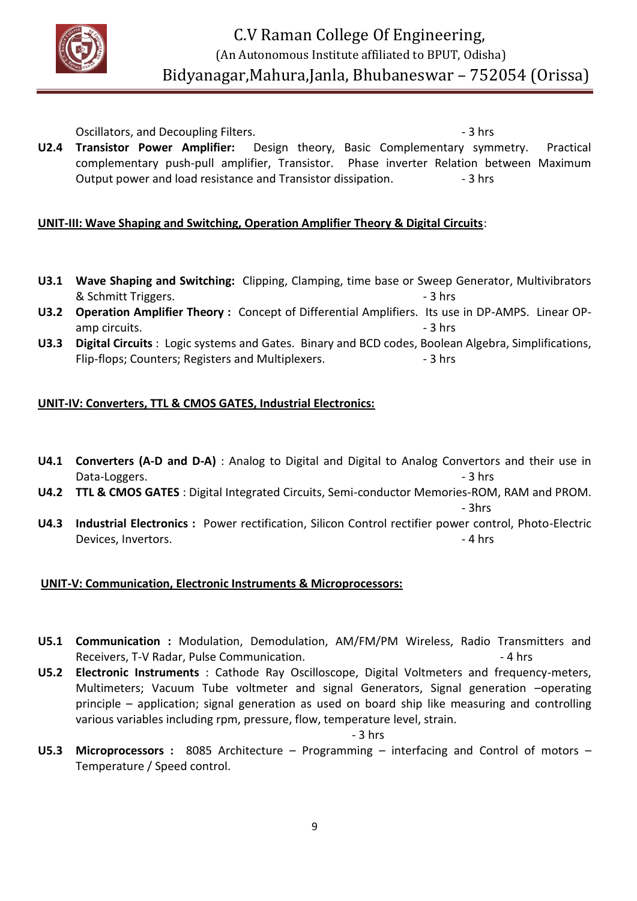

Oscillators, and Decoupling Filters. The same state of the set of the set of the set of the set of the set of the set of the set of the set of the set of the set of the set of the set of the set of the set of the set of th **U2.4 Transistor Power Amplifier:** Design theory, Basic Complementary symmetry. Practical complementary push-pull amplifier, Transistor. Phase inverter Relation between Maximum Output power and load resistance and Transistor dissipation. - 3 hrs

#### **UNIT-III: Wave Shaping and Switching, Operation Amplifier Theory & Digital Circuits**:

- **U3.1 Wave Shaping and Switching:** Clipping, Clamping, time base or Sweep Generator, Multivibrators & Schmitt Triggers.  $\blacksquare$
- **U3.2 Operation Amplifier Theory :** Concept of Differential Amplifiers. Its use in DP-AMPS. Linear OPamp circuits. **- 3** hrs
- **U3.3 Digital Circuits** : Logic systems and Gates. Binary and BCD codes, Boolean Algebra, Simplifications, Flip-flops; Counters; Registers and Multiplexers. 4. The same set of the set of the set of the set of the set o

#### **UNIT-IV: Converters, TTL & CMOS GATES, Industrial Electronics:**

- **U4.1 Converters (A-D and D-A)** : Analog to Digital and Digital to Analog Convertors and their use in Data-Loggers.  $\overline{\phantom{a}}$  3 hrs
- **U4.2 TTL & CMOS GATES** : Digital Integrated Circuits, Semi-conductor Memories-ROM, RAM and PROM.

- 3hrs

**U4.3 Industrial Electronics :** Power rectification, Silicon Control rectifier power control, Photo-Electric Devices, Invertors. **Alternative Contract Contract Contract Contract Contract Contract Contract Contract Contract Contract Contract Contract Contract Contract Contract Contract Contract Contract Contract Contract Contract** 

# **UNIT-V: Communication, Electronic Instruments & Microprocessors:**

- **U5.1 Communication :** Modulation, Demodulation, AM/FM/PM Wireless, Radio Transmitters and Receivers, T-V Radar, Pulse Communication. 4 hosted and the set of the set of the set of the set of the set of the set of the set of the set of the set of the set of the set of the set of the set of the set of the set of t
- **U5.2 Electronic Instruments** : Cathode Ray Oscilloscope, Digital Voltmeters and frequency-meters, Multimeters; Vacuum Tube voltmeter and signal Generators, Signal generation –operating principle – application; signal generation as used on board ship like measuring and controlling various variables including rpm, pressure, flow, temperature level, strain.

- 3 hrs

**U5.3 Microprocessors :** 8085 Architecture – Programming – interfacing and Control of motors – Temperature / Speed control.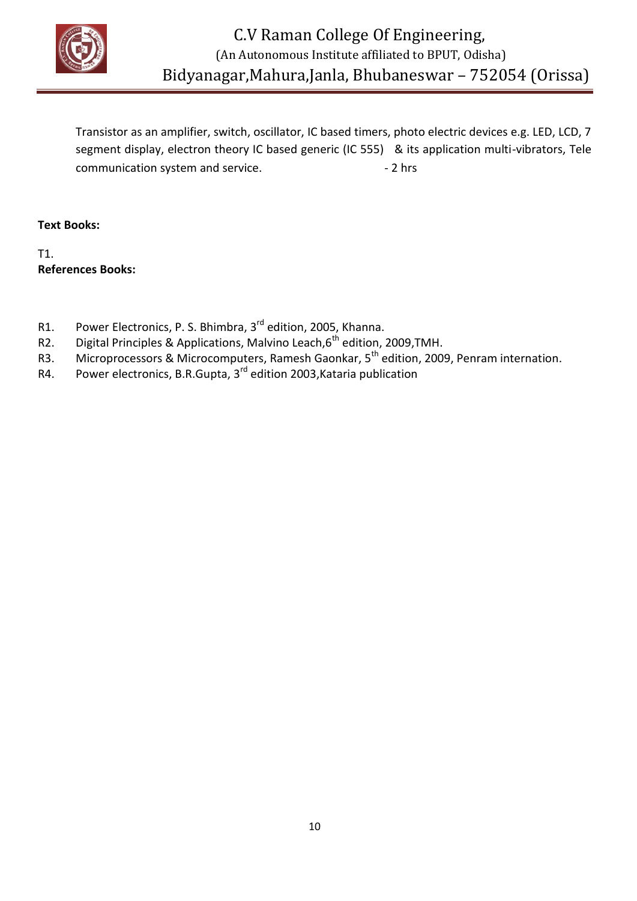

Transistor as an amplifier, switch, oscillator, IC based timers, photo electric devices e.g. LED, LCD, 7 segment display, electron theory IC based generic (IC 555) & its application multi-vibrators, Tele communication system and service. The same service of the service of  $\sim$  2 hrs

**Text Books:**

T1. **References Books:**

- R1. Power Electronics, P. S. Bhimbra, 3<sup>rd</sup> edition, 2005, Khanna.
- R2. Digital Principles & Applications, Malvino Leach, $6^{th}$  edition, 2009, TMH.
- R3. Microprocessors & Microcomputers, Ramesh Gaonkar, 5<sup>th</sup> edition, 2009, Penram internation.
- R4. Power electronics, B.R.Gupta, 3<sup>rd</sup> edition 2003, Kataria publication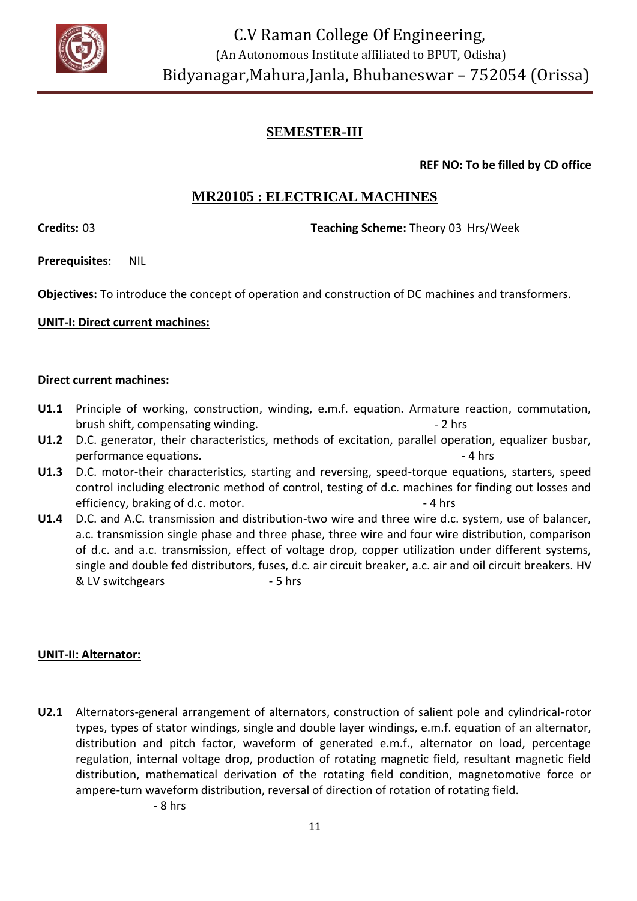

**REF NO: To be filled by CD office**

# **MR20105 : ELECTRICAL MACHINES**

**Credits:** 03 **Teaching Scheme:** Theory 03 Hrs/Week

**Prerequisites**: NIL

**Objectives:** To introduce the concept of operation and construction of DC machines and transformers.

#### **UNIT-I: Direct current machines:**

#### **Direct current machines:**

- **U1.1** Principle of working, construction, winding, e.m.f. equation. Armature reaction, commutation, brush shift, compensating winding.  $\blacksquare$  2 hrs
- **U1.2** D.C. generator, their characteristics, methods of excitation, parallel operation, equalizer busbar, performance equations.  $\blacksquare$
- **U1.3** D.C. motor-their characteristics, starting and reversing, speed-torque equations, starters, speed control including electronic method of control, testing of d.c. machines for finding out losses and efficiency, braking of d.c. motor.  $\blacksquare$  - 4 hrs
- **U1.4** D.C. and A.C. transmission and distribution-two wire and three wire d.c. system, use of balancer, a.c. transmission single phase and three phase, three wire and four wire distribution, comparison of d.c. and a.c. transmission, effect of voltage drop, copper utilization under different systems, single and double fed distributors, fuses, d.c. air circuit breaker, a.c. air and oil circuit breakers. HV & LV switchgears - 5 hrs

#### **UNIT-II: Alternator:**

**U2.1** Alternators-general arrangement of alternators, construction of salient pole and cylindrical-rotor types, types of stator windings, single and double layer windings, e.m.f. equation of an alternator, distribution and pitch factor, waveform of generated e.m.f., alternator on load, percentage regulation, internal voltage drop, production of rotating magnetic field, resultant magnetic field distribution, mathematical derivation of the rotating field condition, magnetomotive force or ampere-turn waveform distribution, reversal of direction of rotation of rotating field.

- 8 hrs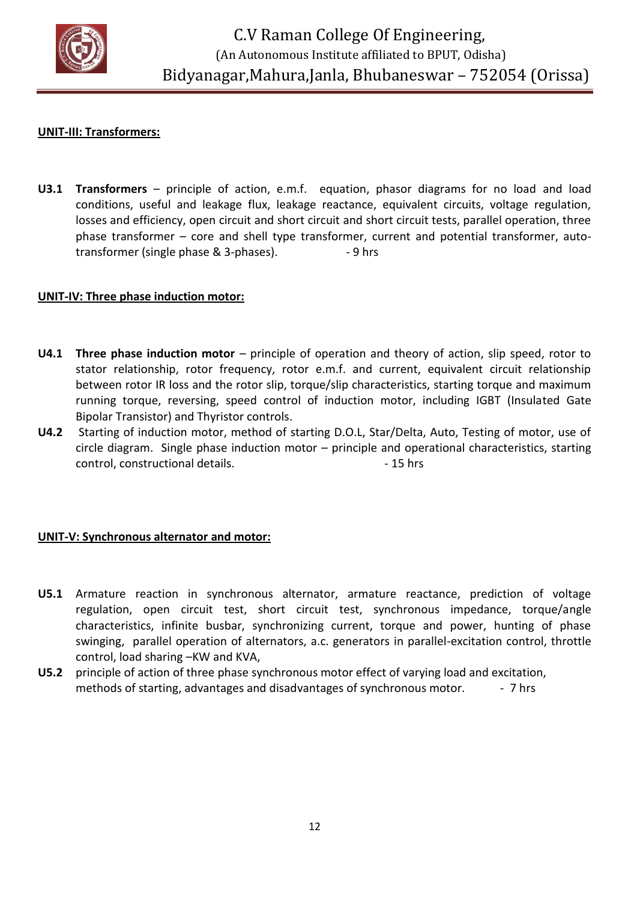

#### **UNIT-III: Transformers:**

**U3.1 Transformers** – principle of action, e.m.f. equation, phasor diagrams for no load and load conditions, useful and leakage flux, leakage reactance, equivalent circuits, voltage regulation, losses and efficiency, open circuit and short circuit and short circuit tests, parallel operation, three phase transformer – core and shell type transformer, current and potential transformer, autotransformer (single phase & 3-phases).  $-9$  hrs

#### **UNIT-IV: Three phase induction motor:**

- **U4.1 Three phase induction motor** principle of operation and theory of action, slip speed, rotor to stator relationship, rotor frequency, rotor e.m.f. and current, equivalent circuit relationship between rotor IR loss and the rotor slip, torque/slip characteristics, starting torque and maximum running torque, reversing, speed control of induction motor, including IGBT (Insulated Gate Bipolar Transistor) and Thyristor controls.
- **U4.2** Starting of induction motor, method of starting D.O.L, Star/Delta, Auto, Testing of motor, use of circle diagram. Single phase induction motor – principle and operational characteristics, starting control, constructional details. 4.15 hrs

#### **UNIT-V: Synchronous alternator and motor:**

- **U5.1** Armature reaction in synchronous alternator, armature reactance, prediction of voltage regulation, open circuit test, short circuit test, synchronous impedance, torque/angle characteristics, infinite busbar, synchronizing current, torque and power, hunting of phase swinging, parallel operation of alternators, a.c. generators in parallel-excitation control, throttle control, load sharing –KW and KVA,
- **U5.2** principle of action of three phase synchronous motor effect of varying load and excitation, methods of starting, advantages and disadvantages of synchronous motor. - 7 hrs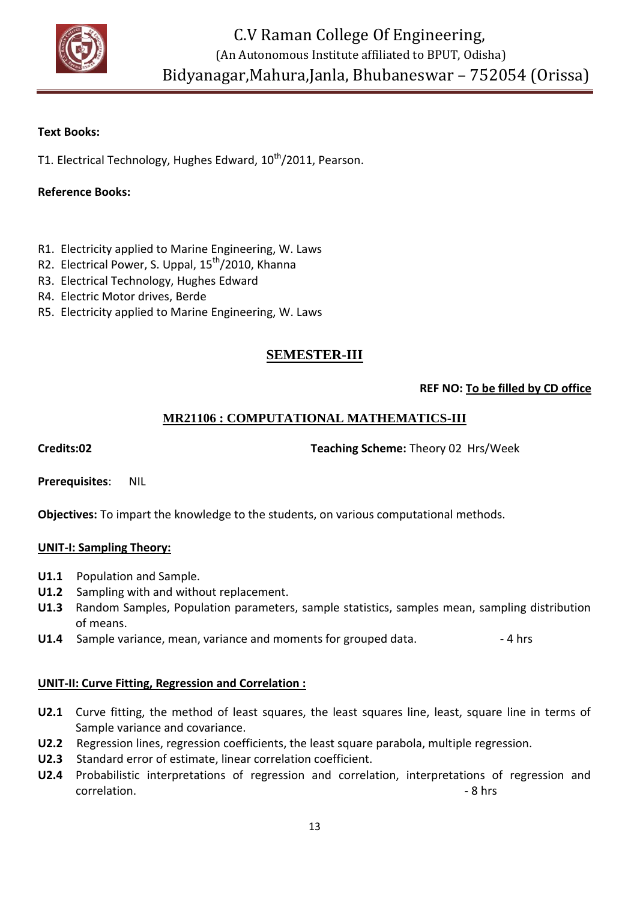

#### **Text Books:**

T1. Electrical Technology, Hughes Edward, 10<sup>th</sup>/2011, Pearson.

#### **Reference Books:**

- R1. Electricity applied to Marine Engineering, W. Laws
- R2. Electrical Power, S. Uppal, 15<sup>th</sup>/2010, Khanna
- R3. Electrical Technology, Hughes Edward
- R4. Electric Motor drives, Berde
- R5. Electricity applied to Marine Engineering, W. Laws

# **SEMESTER-III**

#### **REF NO: To be filled by CD office**

# **MR21106 : COMPUTATIONAL MATHEMATICS-III**

#### **Credits:02 Teaching Scheme:** Theory 02 Hrs/Week

**Prerequisites**: NIL

**Objectives:** To impart the knowledge to the students, on various computational methods.

#### **UNIT-I: Sampling Theory:**

- **U1.1** Population and Sample.
- **U1.2** Sampling with and without replacement.
- **U1.3** Random Samples, Population parameters, sample statistics, samples mean, sampling distribution of means.
- **U1.4** Sample variance, mean, variance and moments for grouped data.  $\blacksquare$

#### **UNIT-II: Curve Fitting, Regression and Correlation :**

- **U2.1** Curve fitting, the method of least squares, the least squares line, least, square line in terms of Sample variance and covariance.
- **U2.2** Regression lines, regression coefficients, the least square parabola, multiple regression.
- **U2.3** Standard error of estimate, linear correlation coefficient.
- **U2.4** Probabilistic interpretations of regression and correlation, interpretations of regression and correlation. **8** hrs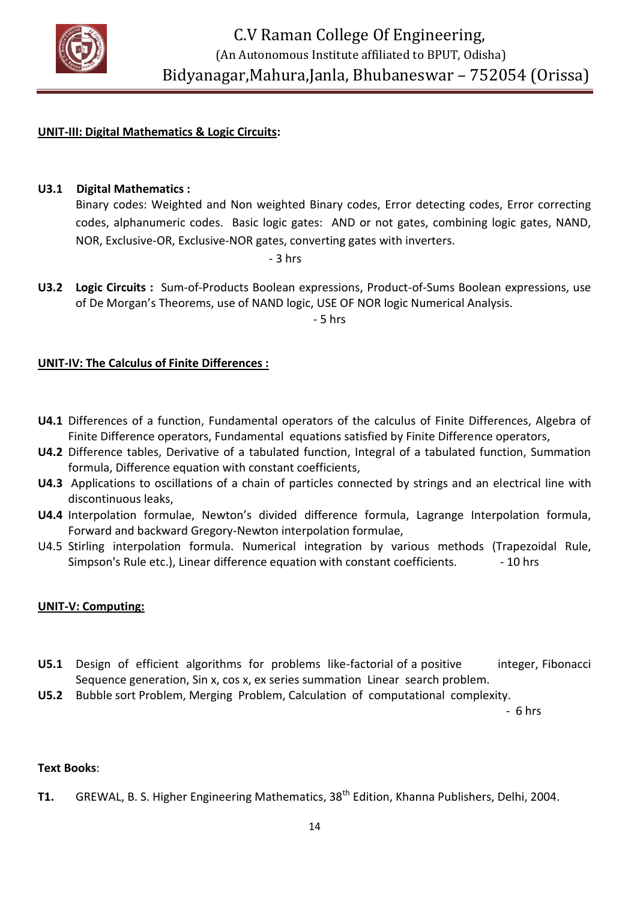

#### **UNIT-III: Digital Mathematics & Logic Circuits:**

**U3.1 Digital Mathematics :**

Binary codes: Weighted and Non weighted Binary codes, Error detecting codes, Error correcting codes, alphanumeric codes. Basic logic gates: AND or not gates, combining logic gates, NAND, NOR, Exclusive-OR, Exclusive-NOR gates, converting gates with inverters.

 $-3$  hrs

**U3.2 Logic Circuits :** Sum-of-Products Boolean expressions, Product-of-Sums Boolean expressions, use of De Morgan's Theorems, use of NAND logic, USE OF NOR logic Numerical Analysis.

- 5 hrs

#### **UNIT-IV: The Calculus of Finite Differences :**

- **U4.1** Differences of a function, Fundamental operators of the calculus of Finite Differences, Algebra of Finite Difference operators, Fundamental equations satisfied by Finite Difference operators,
- **U4.2** Difference tables, Derivative of a tabulated function, Integral of a tabulated function, Summation formula, Difference equation with constant coefficients,
- **U4.3** Applications to oscillations of a chain of particles connected by strings and an electrical line with discontinuous leaks,
- **U4.4** Interpolation formulae, Newton's divided difference formula, Lagrange Interpolation formula, Forward and backward Gregory-Newton interpolation formulae,
- U4.5 Stirling interpolation formula. Numerical integration by various methods (Trapezoidal Rule, Simpson's Rule etc.), Linear difference equation with constant coefficients.  $\sim$  -10 hrs

#### **UNIT-V: Computing:**

- U5.1 Design of efficient algorithms for problems like-factorial of a positive integer, Fibonacci Sequence generation, Sin x, cos x, ex series summation Linear search problem.
- **U5.2** Bubble sort Problem, Merging Problem, Calculation of computational complexity.

- 6 hrs

#### **Text Books**:

T1. GREWAL, B. S. Higher Engineering Mathematics, 38<sup>th</sup> Edition, Khanna Publishers, Delhi, 2004.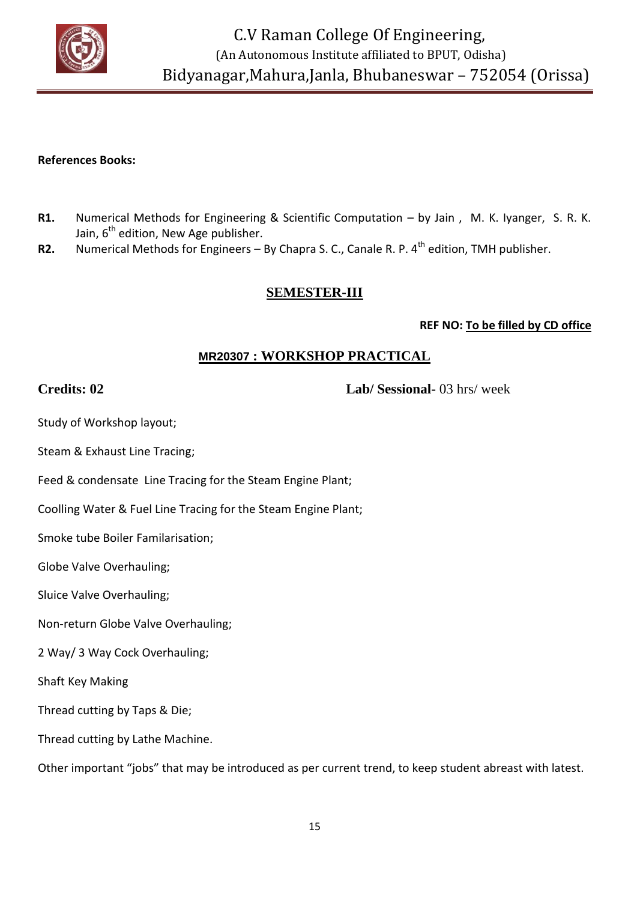

 C.V Raman College Of Engineering, (An Autonomous Institute affiliated to BPUT, Odisha) Bidyanagar,Mahura,Janla, Bhubaneswar – 752054 (Orissa)

#### **References Books:**

- **R1.** Numerical Methods for Engineering & Scientific Computation by Jain , M. K. Iyanger, S. R. K. Jain,  $6<sup>th</sup>$  edition, New Age publisher.
- **R2.** Numerical Methods for Engineers By Chapra S. C., Canale R. P. 4<sup>th</sup> edition, TMH publisher.

### **SEMESTER-III**

#### **REF NO: To be filled by CD office**

# **MR20307 : WORKSHOP PRACTICAL**

**Credits: 02 Lab/ Sessional-** 03 hrs/ week

Study of Workshop layout;

Steam & Exhaust Line Tracing;

Feed & condensate Line Tracing for the Steam Engine Plant;

Coolling Water & Fuel Line Tracing for the Steam Engine Plant;

Smoke tube Boiler Familarisation;

Globe Valve Overhauling;

Sluice Valve Overhauling;

Non-return Globe Valve Overhauling;

2 Way/ 3 Way Cock Overhauling;

Shaft Key Making

Thread cutting by Taps & Die;

Thread cutting by Lathe Machine.

Other important "jobs" that may be introduced as per current trend, to keep student abreast with latest.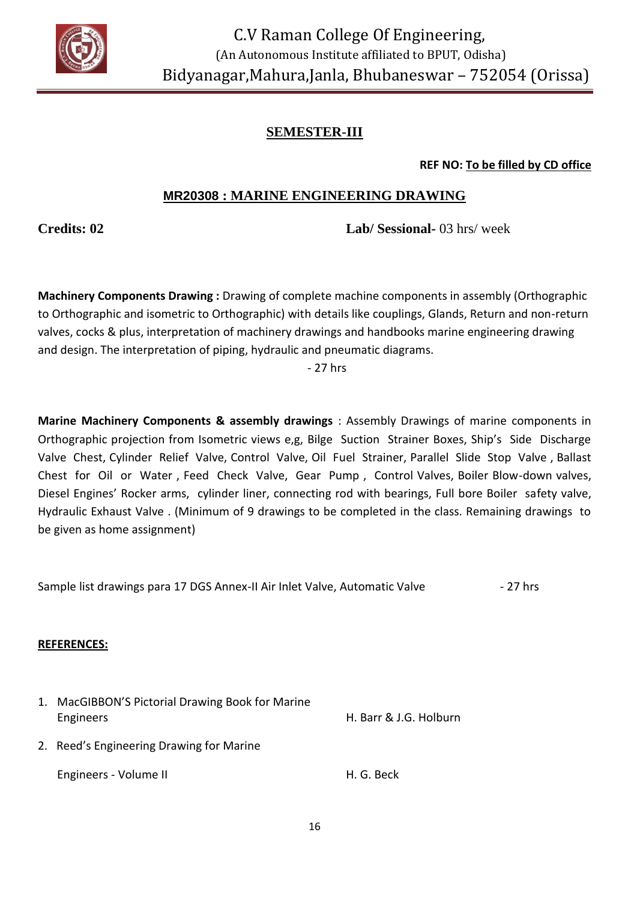

**REF NO: To be filled by CD office**

# **MR20308 : MARINE ENGINEERING DRAWING**

**Credits: 02 Lab/ Sessional-** 03 hrs/ week

**Machinery Components Drawing :** Drawing of complete machine components in assembly (Orthographic to Orthographic and isometric to Orthographic) with details like couplings, Glands, Return and non-return valves, cocks & plus, interpretation of machinery drawings and handbooks marine engineering drawing and design. The interpretation of piping, hydraulic and pneumatic diagrams.

- 27 hrs

**Marine Machinery Components & assembly drawings** : Assembly Drawings of marine components in Orthographic projection from Isometric views e,g, Bilge Suction Strainer Boxes, Ship's Side Discharge Valve Chest, Cylinder Relief Valve, Control Valve, Oil Fuel Strainer, Parallel Slide Stop Valve , Ballast Chest for Oil or Water , Feed Check Valve, Gear Pump , Control Valves, Boiler Blow-down valves, Diesel Engines' Rocker arms, cylinder liner, connecting rod with bearings, Full bore Boiler safety valve, Hydraulic Exhaust Valve . (Minimum of 9 drawings to be completed in the class. Remaining drawings to be given as home assignment)

Sample list drawings para 17 DGS Annex-II Air Inlet Valve, Automatic Valve - 27 hrs

#### **REFERENCES:**

| 1. MacGIBBON'S Pictorial Drawing Book for Marine<br>Engineers | H. Barr & J.G. Holburn |
|---------------------------------------------------------------|------------------------|
| 2. Reed's Engineering Drawing for Marine                      |                        |
| Engineers - Volume II                                         | H. G. Beck             |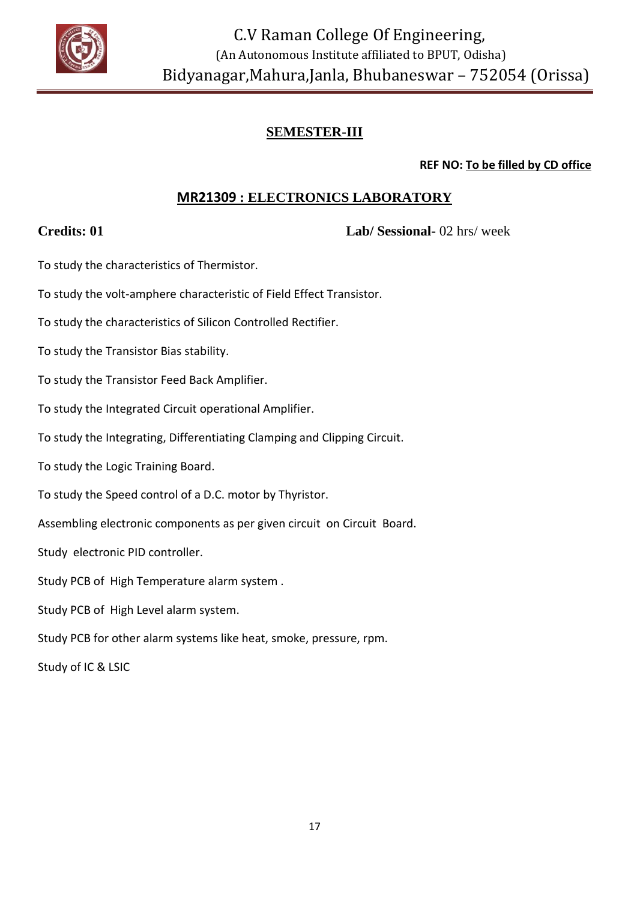

**REF NO: To be filled by CD office**

# **MR21309 : ELECTRONICS LABORATORY**

**Credits: 01 Lab/ Sessional-** 02 hrs/ week

To study the characteristics of Thermistor.

To study the volt-amphere characteristic of Field Effect Transistor.

To study the characteristics of Silicon Controlled Rectifier.

To study the Transistor Bias stability.

To study the Transistor Feed Back Amplifier.

To study the Integrated Circuit operational Amplifier.

To study the Integrating, Differentiating Clamping and Clipping Circuit.

To study the Logic Training Board.

To study the Speed control of a D.C. motor by Thyristor.

Assembling electronic components as per given circuit on Circuit Board.

Study electronic PID controller.

Study PCB of High Temperature alarm system .

Study PCB of High Level alarm system.

Study PCB for other alarm systems like heat, smoke, pressure, rpm.

Study of IC & LSIC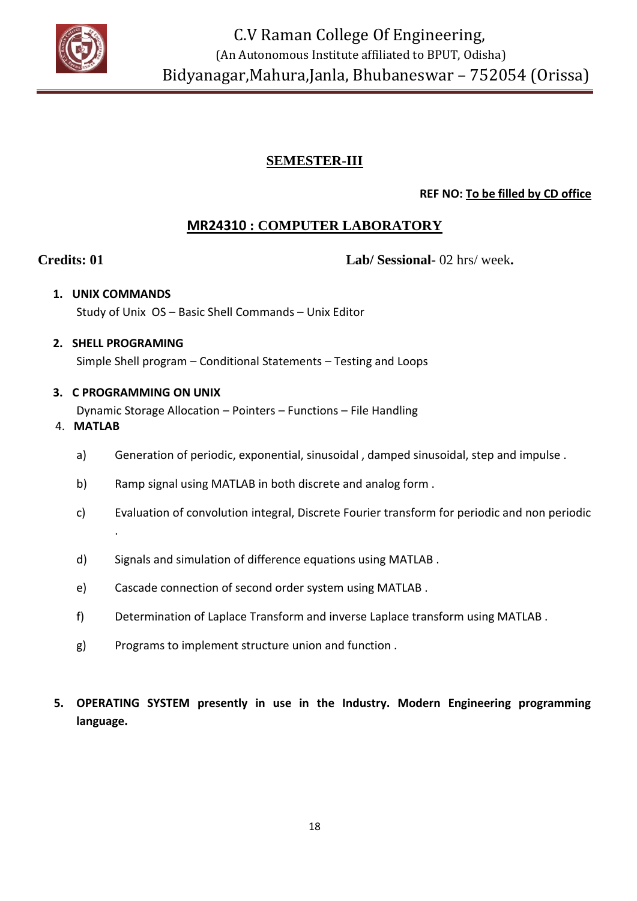

# **REF NO: To be filled by CD office**

# **MR24310 : COMPUTER LABORATORY**

**Credits: 01 Lab/ Sessional-** 02 hrs/ week**.**

# **1. UNIX COMMANDS**

# Study of Unix OS – Basic Shell Commands – Unix Editor

#### **2. SHELL PROGRAMING**

Simple Shell program – Conditional Statements – Testing and Loops

### **3. C PROGRAMMING ON UNIX**

Dynamic Storage Allocation – Pointers – Functions – File Handling

### 4. **MATLAB**

- a) Generation of periodic, exponential, sinusoidal , damped sinusoidal, step and impulse .
- b) Ramp signal using MATLAB in both discrete and analog form .
- c) Evaluation of convolution integral, Discrete Fourier transform for periodic and non periodic .
- d) Signals and simulation of difference equations using MATLAB .
- e) Cascade connection of second order system using MATLAB .
- f) Determination of Laplace Transform and inverse Laplace transform using MATLAB .
- g) Programs to implement structure union and function .
- **5. OPERATING SYSTEM presently in use in the Industry. Modern Engineering programming language.**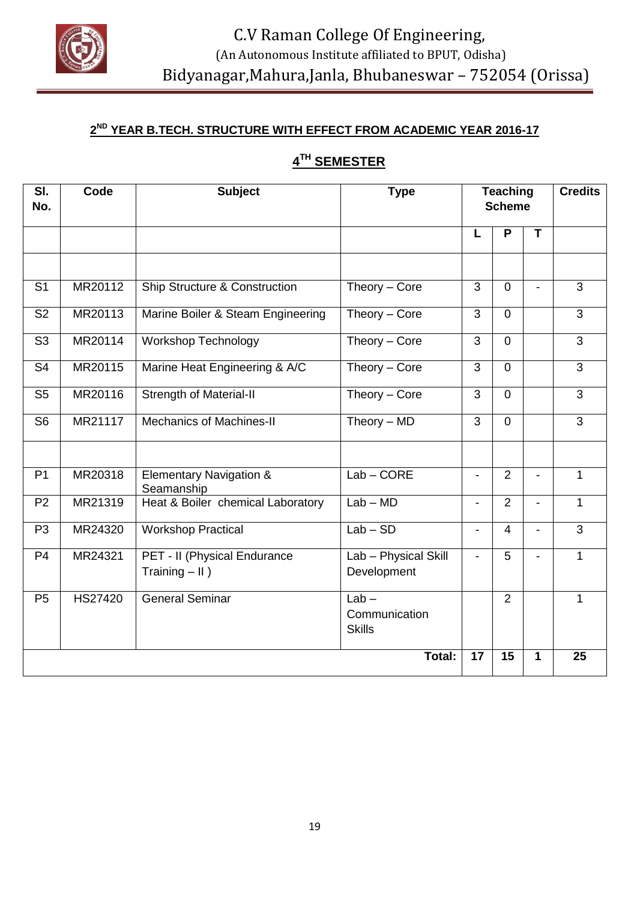

#### **2 ND YEAR B.TECH. STRUCTURE WITH EFFECT FROM ACADEMIC YEAR 2016-17**

# **4 TH SEMESTER**

| SI.<br>No.     | Code           | <b>Subject</b>                                   | <b>Type</b>                               | <b>Teaching</b><br><b>Scheme</b> |                |                          | <b>Credits</b> |
|----------------|----------------|--------------------------------------------------|-------------------------------------------|----------------------------------|----------------|--------------------------|----------------|
|                |                |                                                  |                                           | L                                | P              | T                        |                |
|                |                |                                                  |                                           |                                  |                |                          |                |
| S <sub>1</sub> | MR20112        | Ship Structure & Construction                    | Theory $-$ Core                           | 3                                | $\overline{0}$ |                          | $\overline{3}$ |
| S <sub>2</sub> | MR20113        | Marine Boiler & Steam Engineering                | Theory $-$ Core                           | 3                                | $\Omega$       |                          | $\overline{3}$ |
| S <sub>3</sub> | MR20114        | <b>Workshop Technology</b>                       | Theory $-$ Core                           | $\overline{3}$                   | $\overline{0}$ |                          | $\overline{3}$ |
| S <sub>4</sub> | MR20115        | Marine Heat Engineering & A/C                    | Theory $-$ Core                           | 3                                | $\mathbf 0$    |                          | $\overline{3}$ |
| S <sub>5</sub> | MR20116        | <b>Strength of Material-II</b>                   | Theory - Core                             | $\overline{3}$                   | $\mathbf 0$    |                          | $\overline{3}$ |
| S <sub>6</sub> | MR21117        | <b>Mechanics of Machines-II</b>                  | Theory $-$ MD                             | $\overline{3}$                   | $\mathbf 0$    |                          | $\overline{3}$ |
|                |                |                                                  |                                           |                                  |                |                          |                |
| P <sub>1</sub> | MR20318        | <b>Elementary Navigation &amp;</b><br>Seamanship | $Lab$ – $CORE$                            | $\blacksquare$                   | $\overline{2}$ | $\blacksquare$           | $\mathbf{1}$   |
| P <sub>2</sub> | MR21319        | Heat & Boiler chemical Laboratory                | $Lab - MD$                                | $\blacksquare$                   | $\overline{2}$ | $\blacksquare$           | $\mathbf{1}$   |
| P <sub>3</sub> | MR24320        | <b>Workshop Practical</b>                        | $Lab - SD$                                | $\overline{\phantom{a}}$         | $\overline{4}$ | $\overline{\phantom{a}}$ | 3              |
| P <sub>4</sub> | MR24321        | PET - II (Physical Endurance<br>Training $-$ II) | Lab - Physical Skill<br>Development       | $\blacksquare$                   | 5              | $\blacksquare$           | $\mathbf{1}$   |
| P <sub>5</sub> | <b>HS27420</b> | <b>General Seminar</b>                           | $Lab -$<br>Communication<br><b>Skills</b> |                                  | $\overline{2}$ |                          | $\mathbf{1}$   |
| Total:         |                |                                                  |                                           | 17                               | 15             | $\mathbf{1}$             | 25             |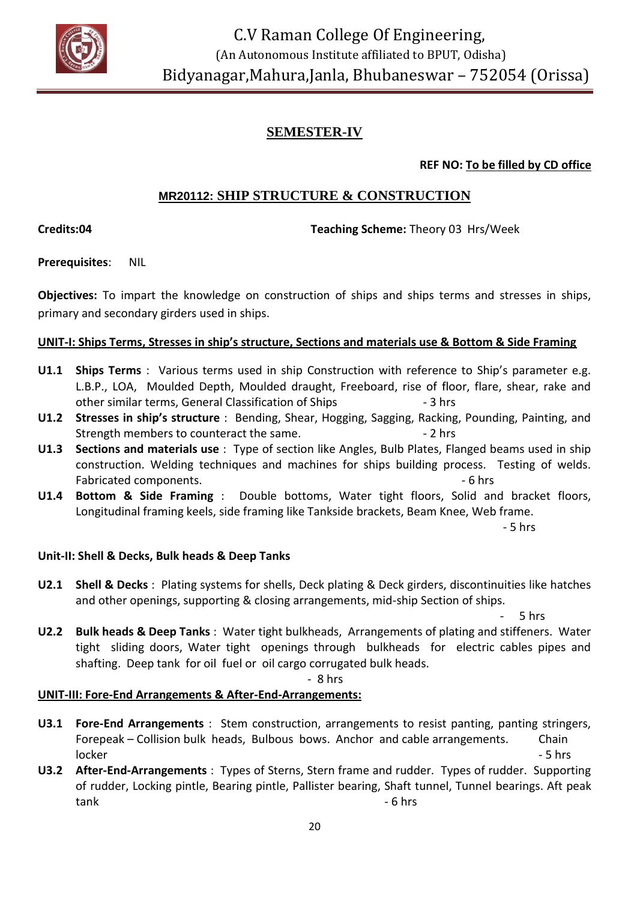

# **SEMESTER-IV**

#### **REF NO: To be filled by CD office**

# **MR20112: SHIP STRUCTURE & CONSTRUCTION**

**Credits:04 Teaching Scheme:** Theory 03 Hrs/Week

**Prerequisites**: NIL

**Objectives:** To impart the knowledge on construction of ships and ships terms and stresses in ships, primary and secondary girders used in ships.

#### **UNIT-I: Ships Terms, Stresses in ship's structure, Sections and materials use & Bottom & Side Framing**

- **U1.1 Ships Terms** : Various terms used in ship Construction with reference to Ship's parameter e.g. L.B.P., LOA, Moulded Depth, Moulded draught, Freeboard, rise of floor, flare, shear, rake and other similar terms, General Classification of Ships - 3 hrs
- **U1.2 Stresses in ship's structure** : Bending, Shear, Hogging, Sagging, Racking, Pounding, Painting, and Strength members to counteract the same.  $\sim$  2 hrs
- **U1.3 Sections and materials use** : Type of section like Angles, Bulb Plates, Flanged beams used in ship construction. Welding techniques and machines for ships building process. Testing of welds. Fabricated components.  $\overline{\phantom{a}}$  6 hrs
- **U1.4 Bottom & Side Framing** : Double bottoms, Water tight floors, Solid and bracket floors, Longitudinal framing keels, side framing like Tankside brackets, Beam Knee, Web frame.

- 5 hrs

#### **Unit-II: Shell & Decks, Bulk heads & Deep Tanks**

**U2.1 Shell & Decks** : Plating systems for shells, Deck plating & Deck girders, discontinuities like hatches and other openings, supporting & closing arrangements, mid-ship Section of ships.

 $5$  hrs

**U2.2 Bulk heads & Deep Tanks** : Water tight bulkheads, Arrangements of plating and stiffeners. Water tight sliding doors, Water tight openings through bulkheads for electric cables pipes and shafting. Deep tank for oil fuel or oil cargo corrugated bulk heads.

- 8 hrs

#### **UNIT-III: Fore-End Arrangements & After-End-Arrangements:**

- **U3.1 Fore-End Arrangements** : Stem construction, arrangements to resist panting, panting stringers, Forepeak – Collision bulk heads, Bulbous bows. Anchor and cable arrangements. Chain locker - 5 hrs
- **U3.2 After-End-Arrangements** : Types of Sterns, Stern frame and rudder. Types of rudder. Supporting of rudder, Locking pintle, Bearing pintle, Pallister bearing, Shaft tunnel, Tunnel bearings. Aft peak tank - 6 hrs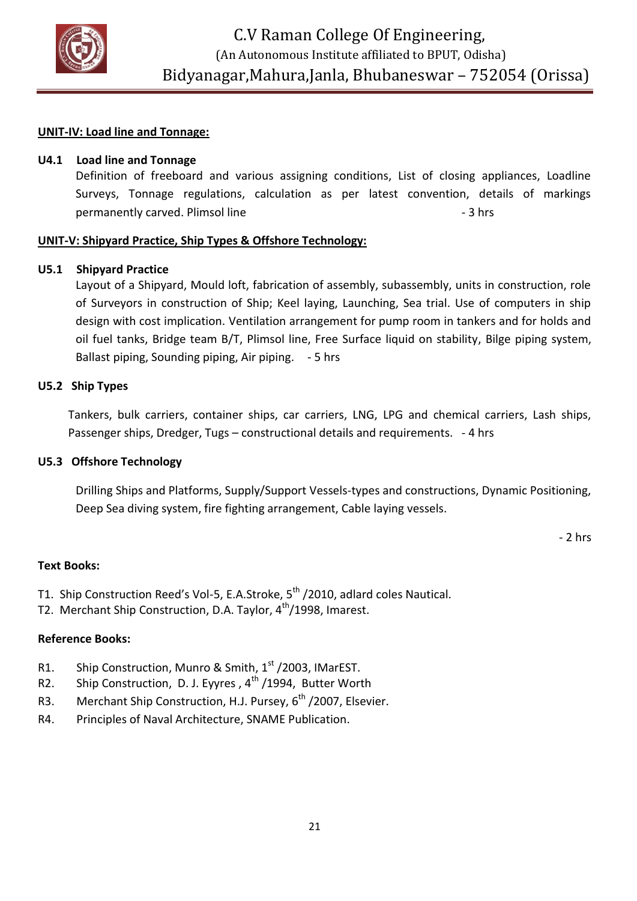

#### **UNIT-IV: Load line and Tonnage:**

#### **U4.1 Load line and Tonnage**

Definition of freeboard and various assigning conditions, List of closing appliances, Loadline Surveys, Tonnage regulations, calculation as per latest convention, details of markings permanently carved. Plimsol line - 3 hrs 3 hrs

#### **UNIT-V: Shipyard Practice, Ship Types & Offshore Technology:**

#### **U5.1 Shipyard Practice**

Layout of a Shipyard, Mould loft, fabrication of assembly, subassembly, units in construction, role of Surveyors in construction of Ship; Keel laying, Launching, Sea trial. Use of computers in ship design with cost implication. Ventilation arrangement for pump room in tankers and for holds and oil fuel tanks, Bridge team B/T, Plimsol line, Free Surface liquid on stability, Bilge piping system, Ballast piping, Sounding piping, Air piping. - 5 hrs

#### **U5.2 Ship Types**

Tankers, bulk carriers, container ships, car carriers, LNG, LPG and chemical carriers, Lash ships, Passenger ships, Dredger, Tugs - constructional details and requirements. - 4 hrs

#### **U5.3 Offshore Technology**

Drilling Ships and Platforms, Supply/Support Vessels-types and constructions, Dynamic Positioning, Deep Sea diving system, fire fighting arrangement, Cable laying vessels.

- 2 hrs

#### **Text Books:**

- T1. Ship Construction Reed's Vol-5, E.A.Stroke, 5<sup>th</sup> /2010, adlard coles Nautical.
- T2. Merchant Ship Construction, D.A. Taylor, 4<sup>th</sup>/1998, Imarest.

#### **Reference Books:**

- R1. Ship Construction, Munro & Smith,  $1<sup>st</sup>$  /2003, IMarEST.
- R2. Ship Construction, D. J. Eyyres,  $4^{th}$  /1994, Butter Worth
- R3. Merchant Ship Construction, H.J. Pursey, 6<sup>th</sup> / 2007, Elsevier.
- R4. Principles of Naval Architecture, SNAME Publication.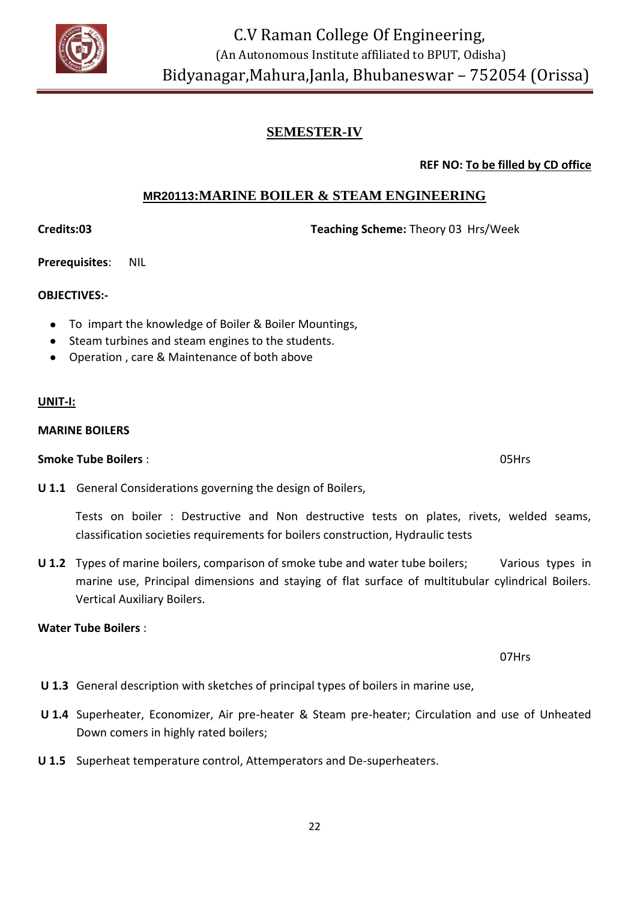

# **SEMESTER-IV**

**REF NO: To be filled by CD office**

### **MR20113:MARINE BOILER & STEAM ENGINEERING**

**Credits:03 Teaching Scheme:** Theory 03 Hrs/Week

**Prerequisites**: NIL

#### **OBJECTIVES:-**

- To impart the knowledge of Boiler & Boiler Mountings,
- Steam turbines and steam engines to the students.
- Operation , care & Maintenance of both above

#### **UNIT-I:**

#### **MARINE BOILERS**

#### **Smoke Tube Boilers** : 05Hrs

**U 1.1** General Considerations governing the design of Boilers,

Tests on boiler : Destructive and Non destructive tests on plates, rivets, welded seams, classification societies requirements for boilers construction, Hydraulic tests

**U 1.2** Types of marine boilers, comparison of smoke tube and water tube boilers; Various types in marine use, Principal dimensions and staying of flat surface of multitubular cylindrical Boilers. Vertical Auxiliary Boilers.

#### **Water Tube Boilers** :

07Hrs

- **U 1.3** General description with sketches of principal types of boilers in marine use,
- **U 1.4** Superheater, Economizer, Air pre-heater & Steam pre-heater; Circulation and use of Unheated Down comers in highly rated boilers;
- **U 1.5** Superheat temperature control, Attemperators and De-superheaters.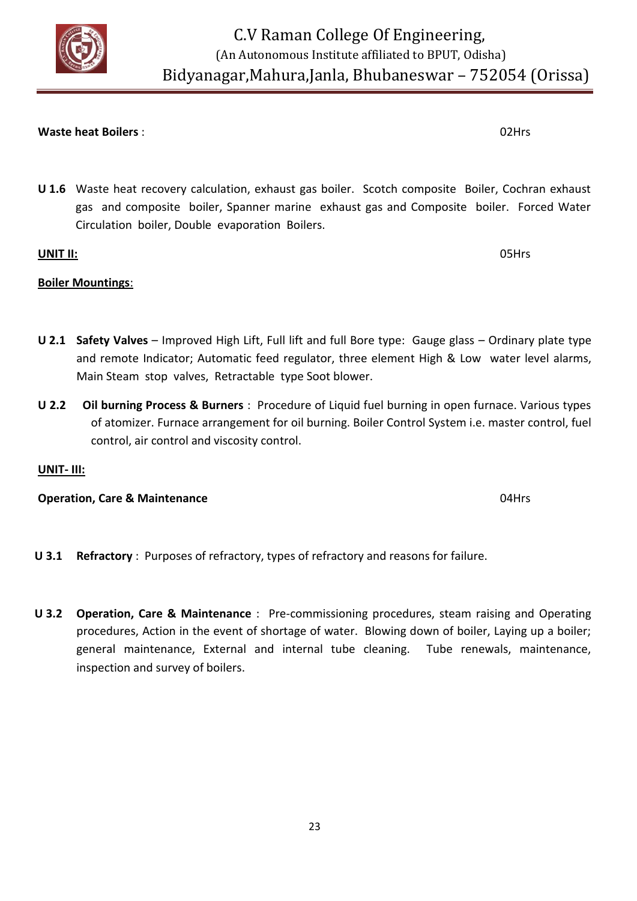#### **Waste heat Boilers** : 02Hrs

**U 1.6** Waste heat recovery calculation, exhaust gas boiler. Scotch composite Boiler, Cochran exhaust gas and composite boiler, Spanner marine exhaust gas and Composite boiler. Forced Water Circulation boiler, Double evaporation Boilers.

# **UNIT II:** 05Hrs

# **Boiler Mountings**:

- **U 2.1 Safety Valves** Improved High Lift, Full lift and full Bore type: Gauge glass Ordinary plate type and remote Indicator; Automatic feed regulator, three element High & Low water level alarms, Main Steam stop valves, Retractable type Soot blower.
- **U 2.2 Oil burning Process & Burners** : Procedure of Liquid fuel burning in open furnace. Various types of atomizer. Furnace arrangement for oil burning. Boiler Control System i.e. master control, fuel control, air control and viscosity control.

# **UNIT- III:**

#### **Operation, Care & Maintenance 04Hrs**

- **U 3.1 Refractory** : Purposes of refractory, types of refractory and reasons for failure.
- **U 3.2 Operation, Care & Maintenance** : Pre-commissioning procedures, steam raising and Operating procedures, Action in the event of shortage of water. Blowing down of boiler, Laying up a boiler; general maintenance, External and internal tube cleaning. Tube renewals, maintenance, inspection and survey of boilers.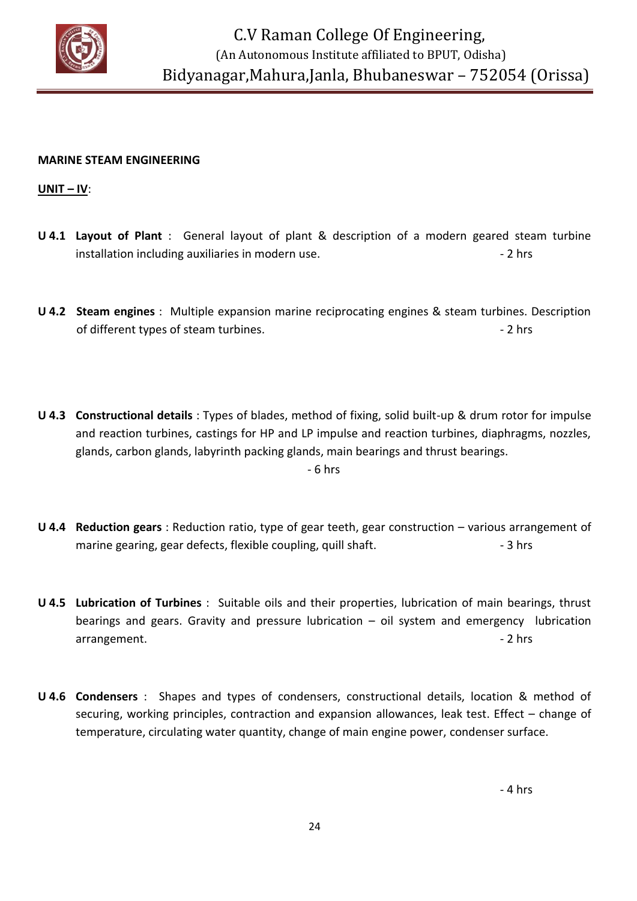

#### **MARINE STEAM ENGINEERING**

**UNIT – IV**:

- **U 4.1 Layout of Plant** : General layout of plant & description of a modern geared steam turbine installation including auxiliaries in modern use.  $\blacksquare$
- **U 4.2 Steam engines** : Multiple expansion marine reciprocating engines & steam turbines. Description of different types of steam turbines. The contract of different types of steam turbines.
- **U 4.3 Constructional details** : Types of blades, method of fixing, solid built-up & drum rotor for impulse and reaction turbines, castings for HP and LP impulse and reaction turbines, diaphragms, nozzles, glands, carbon glands, labyrinth packing glands, main bearings and thrust bearings. - 6 hrs
- **U 4.4 Reduction gears** : Reduction ratio, type of gear teeth, gear construction various arrangement of marine gearing, gear defects, flexible coupling, quill shaft.  $\sim$  3 hrs
- **U 4.5 Lubrication of Turbines** : Suitable oils and their properties, lubrication of main bearings, thrust bearings and gears. Gravity and pressure lubrication – oil system and emergency lubrication arrangement. **2** hrs
- **U 4.6 Condensers** : Shapes and types of condensers, constructional details, location & method of securing, working principles, contraction and expansion allowances, leak test. Effect – change of temperature, circulating water quantity, change of main engine power, condenser surface.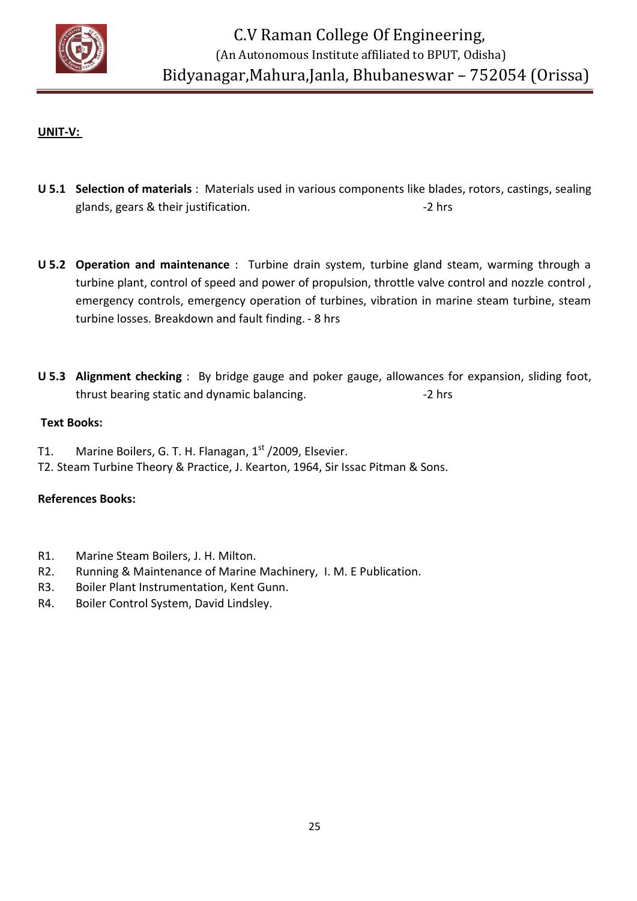

### **UNIT-V:**

- **U 5.1 Selection of materials** : Materials used in various components like blades, rotors, castings, sealing glands, gears & their justification.  $\blacksquare$
- **U 5.2 Operation and maintenance** : Turbine drain system, turbine gland steam, warming through a turbine plant, control of speed and power of propulsion, throttle valve control and nozzle control , emergency controls, emergency operation of turbines, vibration in marine steam turbine, steam turbine losses. Breakdown and fault finding. - 8 hrs
- **U 5.3 Alignment checking** : By bridge gauge and poker gauge, allowances for expansion, sliding foot, thrust bearing static and dynamic balancing. The same of the same static and dynamic balancing.

#### **Text Books:**

- T1. Marine Boilers, G. T. H. Flanagan, 1<sup>st</sup> /2009, Elsevier.
- T2. Steam Turbine Theory & Practice, J. Kearton, 1964, Sir Issac Pitman & Sons.

#### **References Books:**

- R1. Marine Steam Boilers, J. H. Milton.
- R2. Running & Maintenance of Marine Machinery, I. M. E Publication.
- R3. Boiler Plant Instrumentation, Kent Gunn.
- R4. Boiler Control System, David Lindsley.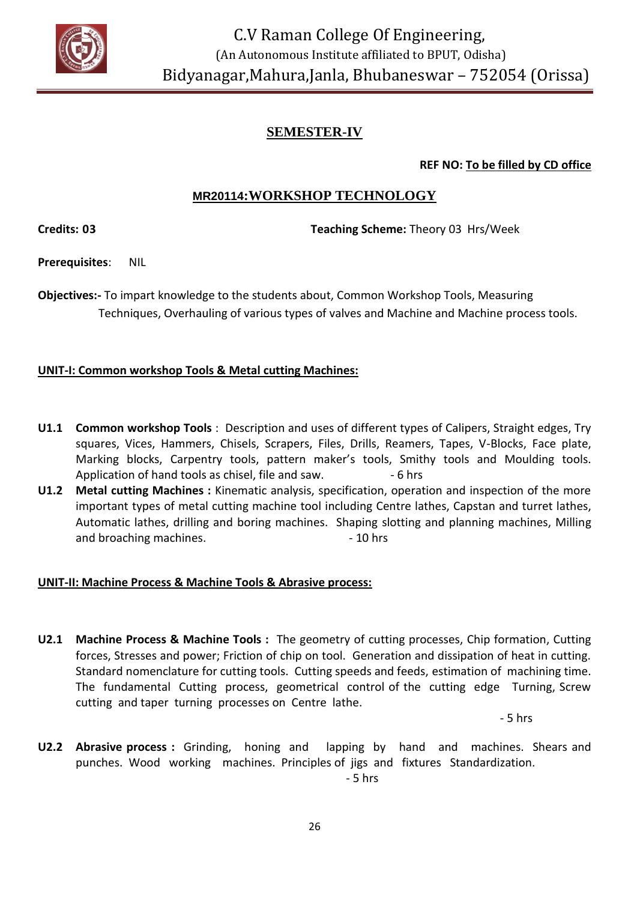

# **SEMESTER-IV**

**REF NO: To be filled by CD office**

# **MR20114:WORKSHOP TECHNOLOGY**

**Credits: 03 Teaching Scheme:** Theory 03 Hrs/Week

**Prerequisites**: NIL

**Objectives:-** To impart knowledge to the students about, Common Workshop Tools, Measuring Techniques, Overhauling of various types of valves and Machine and Machine process tools.

#### **UNIT-I: Common workshop Tools & Metal cutting Machines:**

- **U1.1 Common workshop Tools** : Description and uses of different types of Calipers, Straight edges, Try squares, Vices, Hammers, Chisels, Scrapers, Files, Drills, Reamers, Tapes, V-Blocks, Face plate, Marking blocks, Carpentry tools, pattern maker's tools, Smithy tools and Moulding tools. Application of hand tools as chisel, file and saw. - 6 hrs
- **U1.2 Metal cutting Machines :** Kinematic analysis, specification, operation and inspection of the more important types of metal cutting machine tool including Centre lathes, Capstan and turret lathes, Automatic lathes, drilling and boring machines. Shaping slotting and planning machines, Milling and broaching machines. The same state of the 10 hrs

#### **UNIT-II: Machine Process & Machine Tools & Abrasive process:**

**U2.1 Machine Process & Machine Tools :** The geometry of cutting processes, Chip formation, Cutting forces, Stresses and power; Friction of chip on tool. Generation and dissipation of heat in cutting. Standard nomenclature for cutting tools. Cutting speeds and feeds, estimation of machining time. The fundamental Cutting process, geometrical control of the cutting edge Turning, Screw cutting and taper turning processes on Centre lathe.

- 5 hrs

**U2.2 Abrasive process :** Grinding, honing and lapping by hand and machines. Shears and punches. Wood working machines. Principles of jigs and fixtures Standardization. - 5 hrs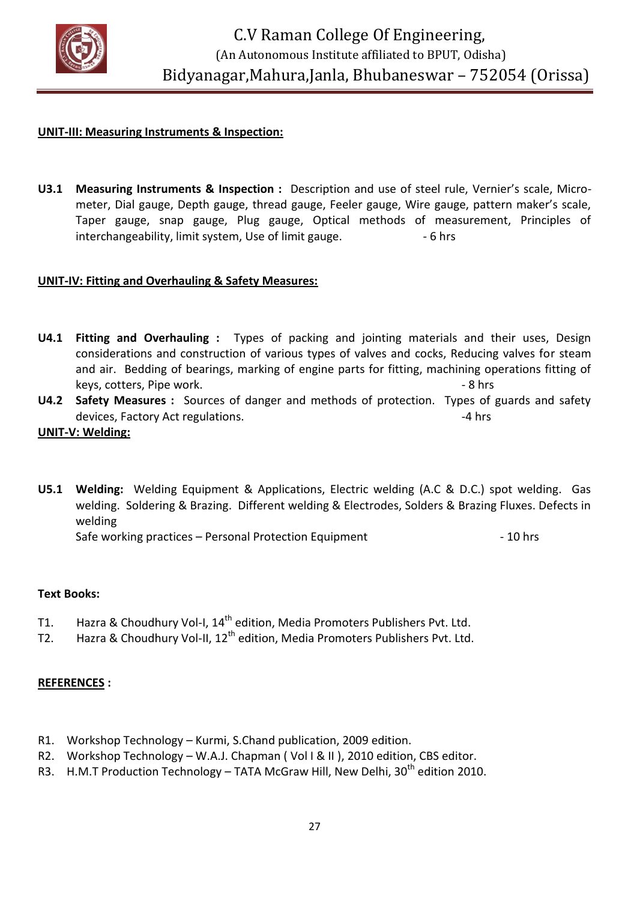

#### **UNIT-III: Measuring Instruments & Inspection:**

**U3.1 Measuring Instruments & Inspection :** Description and use of steel rule, Vernier's scale, Micrometer, Dial gauge, Depth gauge, thread gauge, Feeler gauge, Wire gauge, pattern maker's scale, Taper gauge, snap gauge, Plug gauge, Optical methods of measurement, Principles of interchangeability, limit system, Use of limit gauge.  $\sim$  6 hrs

#### **UNIT-IV: Fitting and Overhauling & Safety Measures:**

- **U4.1 Fitting and Overhauling :** Types of packing and jointing materials and their uses, Design considerations and construction of various types of valves and cocks, Reducing valves for steam and air. Bedding of bearings, marking of engine parts for fitting, machining operations fitting of keys, cotters, Pipe work.  $\overline{a}$  and  $\overline{a}$  and  $\overline{a}$  and  $\overline{a}$  and  $\overline{a}$  and  $\overline{a}$  and  $\overline{a}$  and  $\overline{a}$  and  $\overline{a}$  and  $\overline{a}$  and  $\overline{a}$  and  $\overline{a}$  and  $\overline{a}$  and  $\overline{a}$  and  $\overline{a}$  and
- **U4.2 Safety Measures :** Sources of danger and methods of protection. Types of guards and safety devices, Factory Act regulations. The contract of the set of the set of the set of the set of the set of the set of the set of the set of the set of the set of the set of the set of the set of the set of the set of the set

#### **UNIT-V: Welding:**

**U5.1 Welding:** Welding Equipment & Applications, Electric welding (A.C & D.C.) spot welding. Gas welding. Soldering & Brazing. Different welding & Electrodes, Solders & Brazing Fluxes. Defects in welding

Safe working practices – Personal Protection Equipment - 10 hrs

#### **Text Books:**

- T1. Hazra & Choudhury Vol-I, 14<sup>th</sup> edition, Media Promoters Publishers Pvt. Ltd.
- T2. Hazra & Choudhury Vol-II, 12<sup>th</sup> edition, Media Promoters Publishers Pvt. Ltd.

#### **REFERENCES :**

- R1. Workshop Technology Kurmi, S.Chand publication, 2009 edition.
- R2. Workshop Technology W.A.J. Chapman ( Vol I & II ), 2010 edition, CBS editor.
- R3. H.M.T Production Technology TATA McGraw Hill, New Delhi,  $30<sup>th</sup>$  edition 2010.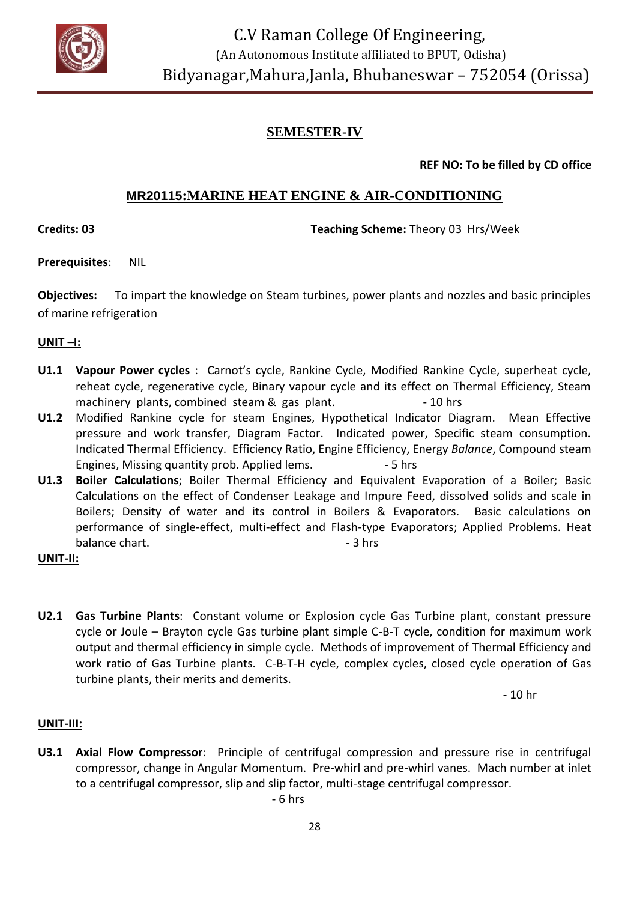

# **SEMESTER-IV**

**REF NO: To be filled by CD office**

# **MR20115:MARINE HEAT ENGINE & AIR-CONDITIONING**

**Credits: 03 Teaching Scheme:** Theory 03 Hrs/Week

**Prerequisites**: NIL

**Objectives:** To impart the knowledge on Steam turbines, power plants and nozzles and basic principles of marine refrigeration

#### **UNIT –I:**

- **U1.1 Vapour Power cycles** : Carnot's cycle, Rankine Cycle, Modified Rankine Cycle, superheat cycle, reheat cycle, regenerative cycle, Binary vapour cycle and its effect on Thermal Efficiency, Steam machinery plants, combined steam & gas plant. - 10 hrs
- **U1.2** Modified Rankine cycle for steam Engines, Hypothetical Indicator Diagram. Mean Effective pressure and work transfer, Diagram Factor. Indicated power, Specific steam consumption. Indicated Thermal Efficiency. Efficiency Ratio, Engine Efficiency, Energy *Balance*, Compound steam Engines, Missing quantity prob. Applied lems.  $-5$  hrs
- **U1.3 Boiler Calculations**; Boiler Thermal Efficiency and Equivalent Evaporation of a Boiler; Basic Calculations on the effect of Condenser Leakage and Impure Feed, dissolved solids and scale in Boilers; Density of water and its control in Boilers & Evaporators. Basic calculations on performance of single-effect, multi-effect and Flash-type Evaporators; Applied Problems. Heat balance chart.  $\overline{\phantom{a}}$  - 3 hrs

#### **UNIT-II:**

**U2.1 Gas Turbine Plants**: Constant volume or Explosion cycle Gas Turbine plant, constant pressure cycle or Joule – Brayton cycle Gas turbine plant simple C-B-T cycle, condition for maximum work output and thermal efficiency in simple cycle. Methods of improvement of Thermal Efficiency and work ratio of Gas Turbine plants. C-B-T-H cycle, complex cycles, closed cycle operation of Gas turbine plants, their merits and demerits.

- 10 hr

#### **UNIT-III:**

**U3.1 Axial Flow Compressor**: Principle of centrifugal compression and pressure rise in centrifugal compressor, change in Angular Momentum. Pre-whirl and pre-whirl vanes. Mach number at inlet to a centrifugal compressor, slip and slip factor, multi-stage centrifugal compressor.

- 6 hrs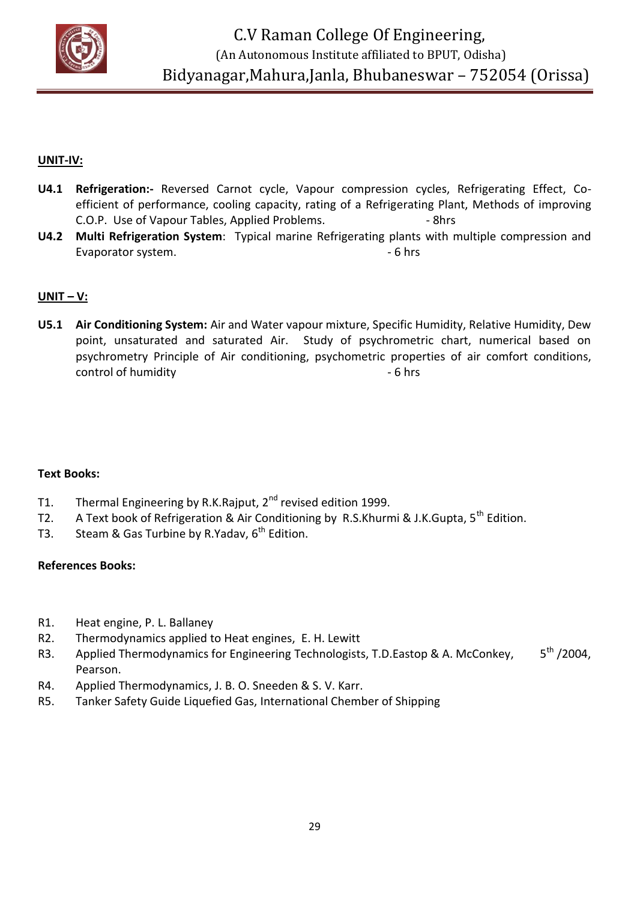

#### **UNIT-IV:**

- **U4.1 Refrigeration:-** Reversed Carnot cycle, Vapour compression cycles, Refrigerating Effect, Coefficient of performance, cooling capacity, rating of a Refrigerating Plant, Methods of improving C.O.P. Use of Vapour Tables, Applied Problems. 4. The Shrs
- **U4.2 Multi Refrigeration System**: Typical marine Refrigerating plants with multiple compression and Evaporator system. The contract of the system of the system of the system of the system of the system of the system of the system of the system of the system of the system of the system of the system of the system of the s

#### **UNIT – V:**

**U5.1 Air Conditioning System:** Air and Water vapour mixture, Specific Humidity, Relative Humidity, Dew point, unsaturated and saturated Air. Study of psychrometric chart, numerical based on psychrometry Principle of Air conditioning, psychometric properties of air comfort conditions, control of humidity  $-6$  hrs

#### **Text Books:**

- T1. Thermal Engineering by R.K.Rajput, 2<sup>nd</sup> revised edition 1999.
- T2. A Text book of Refrigeration & Air Conditioning by R.S.Khurmi & J.K.Gupta,  $5^{th}$  Edition.
- T3. Steam & Gas Turbine by R.Yadav,  $6<sup>th</sup>$  Edition.

#### **References Books:**

- R1. Heat engine, P. L. Ballaney
- R2. Thermodynamics applied to Heat engines, E. H. Lewitt
- R3. Applied Thermodynamics for Engineering Technologists, T.D.Eastop & A. McConkey, 5<sup>th</sup> /2004, Pearson.
- R4. Applied Thermodynamics, J. B. O. Sneeden & S. V. Karr.
- R5. Tanker Safety Guide Liquefied Gas, International Chember of Shipping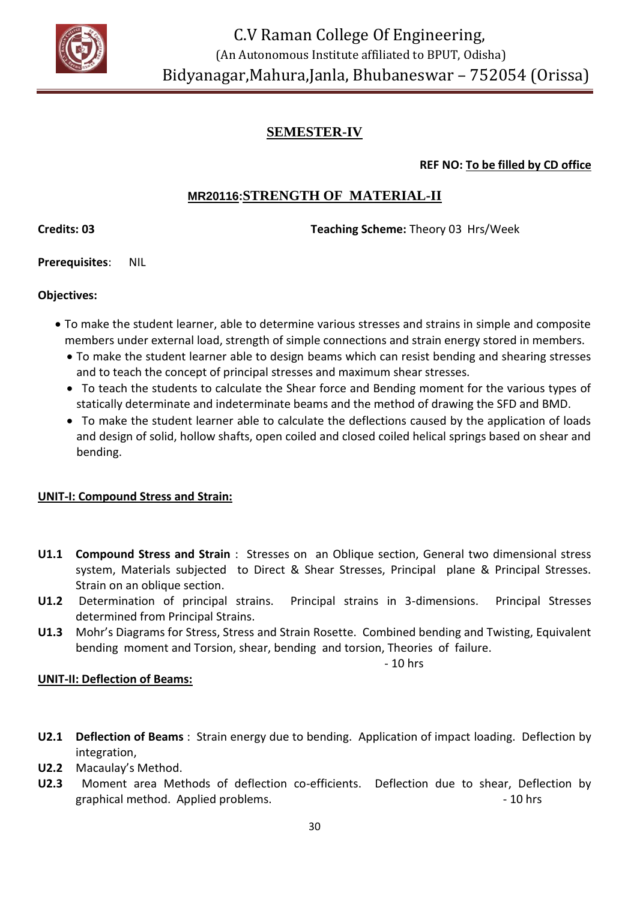

# **SEMESTER-IV**

# **REF NO: To be filled by CD office**

# **MR20116:STRENGTH OF MATERIAL-II**

**Credits: 03 Teaching Scheme:** Theory 03 Hrs/Week

**Prerequisites**: NIL

# **Objectives:**

- To make the student learner, able to determine various stresses and strains in simple and composite members under external load, strength of simple connections and strain energy stored in members.
	- To make the student learner able to design beams which can resist bending and shearing stresses and to teach the concept of principal stresses and maximum shear stresses.
	- To teach the students to calculate the Shear force and Bending moment for the various types of statically determinate and indeterminate beams and the method of drawing the SFD and BMD.
	- To make the student learner able to calculate the deflections caused by the application of loads and design of solid, hollow shafts, open coiled and closed coiled helical springs based on shear and bending.

# **UNIT-I: Compound Stress and Strain:**

- **U1.1 Compound Stress and Strain** : Stresses on an Oblique section, General two dimensional stress system, Materials subjected to Direct & Shear Stresses, Principal plane & Principal Stresses. Strain on an oblique section.
- **U1.2** Determination of principal strains. Principal strains in 3-dimensions. Principal Stresses determined from Principal Strains.
- **U1.3** Mohr's Diagrams for Stress, Stress and Strain Rosette. Combined bending and Twisting, Equivalent bending moment and Torsion, shear, bending and torsion, Theories of failure.

 $-10$  hrs

#### **UNIT-II: Deflection of Beams:**

- **U2.1 Deflection of Beams** : Strain energy due to bending. Application of impact loading. Deflection by integration,
- **U2.2** Macaulay's Method.
- **U2.3** Moment area Methods of deflection co-efficients. Deflection due to shear, Deflection by graphical method. Applied problems.  $\blacksquare$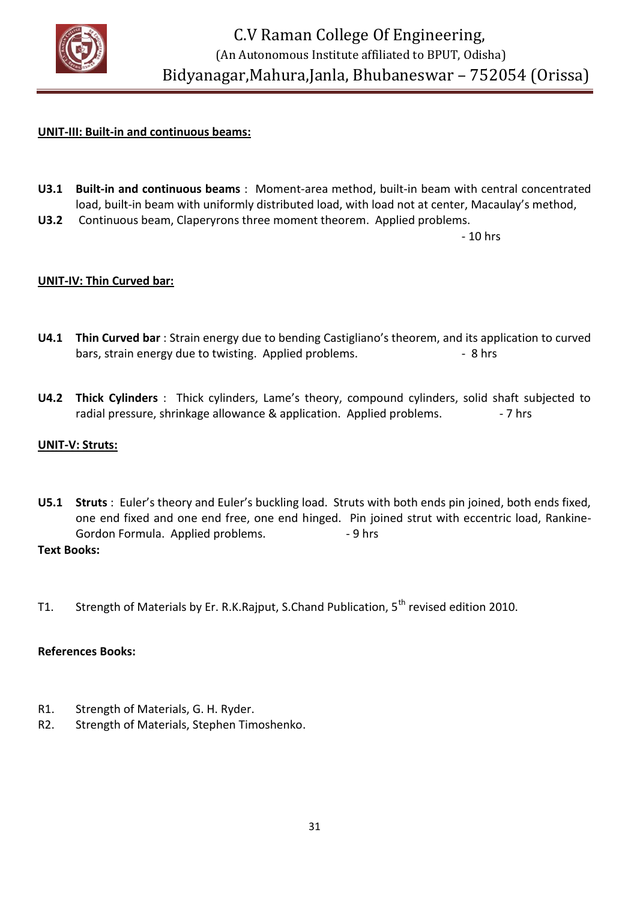

#### **UNIT-III: Built-in and continuous beams:**

- **U3.1 Built-in and continuous beams** : Moment-area method, built-in beam with central concentrated load, built-in beam with uniformly distributed load, with load not at center, Macaulay's method,
- **U3.2** Continuous beam, Claperyrons three moment theorem. Applied problems.

- 10 hrs

#### **UNIT-IV: Thin Curved bar:**

- **U4.1 Thin Curved bar** : Strain energy due to bending Castigliano's theorem, and its application to curved bars, strain energy due to twisting. Applied problems.  $\overline{\phantom{a}}$  - 8 hrs
- **U4.2 Thick Cylinders** : Thick cylinders, Lame's theory, compound cylinders, solid shaft subjected to radial pressure, shrinkage allowance & application. Applied problems.  $\overline{\phantom{a}}$  - 7 hrs

#### **UNIT-V: Struts:**

- **U5.1 Struts** : Euler's theory and Euler's buckling load. Struts with both ends pin joined, both ends fixed, one end fixed and one end free, one end hinged. Pin joined strut with eccentric load, Rankine-Gordon Formula. Applied problems. 49 hrs **Text Books:**
- T1. Strength of Materials by Er. R.K.Rajput, S.Chand Publication, 5<sup>th</sup> revised edition 2010.

#### **References Books:**

- R1. Strength of Materials, G. H. Ryder.
- R2. Strength of Materials, Stephen Timoshenko.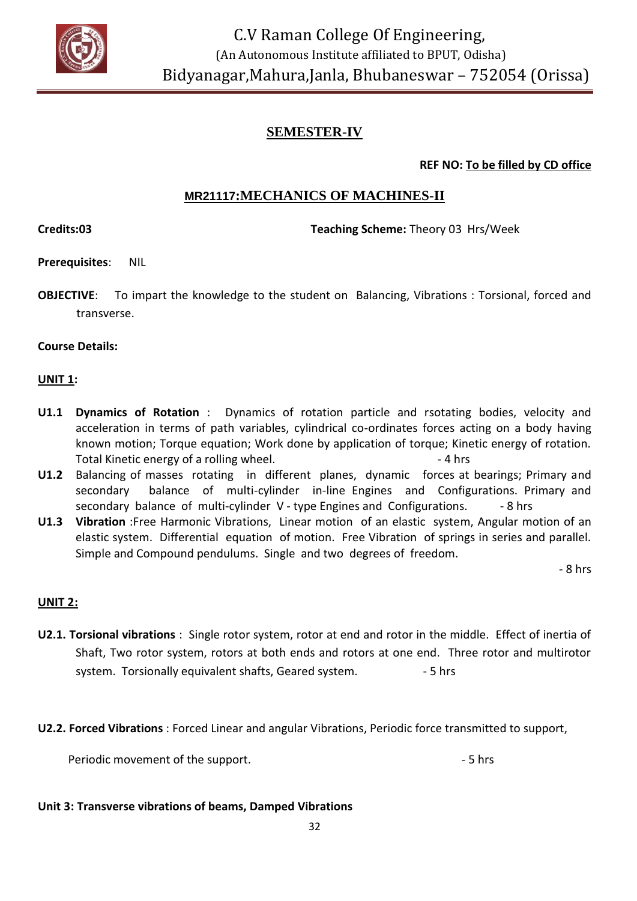

# **SEMESTER-IV**

**REF NO: To be filled by CD office**

# **MR21117:MECHANICS OF MACHINES-II**

**Credits:03 Teaching Scheme:** Theory 03 Hrs/Week

**Prerequisites**: NIL

**OBJECTIVE**: To impart the knowledge to the student on Balancing, Vibrations : Torsional, forced and transverse.

#### **Course Details:**

#### **UNIT 1:**

- **U1.1 Dynamics of Rotation** : Dynamics of rotation particle and rsotating bodies, velocity and acceleration in terms of path variables, cylindrical co-ordinates forces acting on a body having known motion; Torque equation; Work done by application of torque; Kinetic energy of rotation. Total Kinetic energy of a rolling wheel.  $\overline{a}$  and  $\overline{a}$  and  $\overline{a}$  are 4 hrs
- **U1.2** Balancing of masses rotating in different planes, dynamic forces at bearings; Primary and secondary balance of multi-cylinder in-line Engines and Configurations. Primary and secondary balance of multi-cylinder V - type Engines and Configurations. - 8 hrs
- **U1.3 Vibration** :Free Harmonic Vibrations, Linear motion of an elastic system, Angular motion of an elastic system. Differential equation of motion. Free Vibration of springs in series and parallel. Simple and Compound pendulums. Single and two degrees of freedom.

- 8 hrs

# **UNIT 2:**

- **U2.1. Torsional vibrations** : Single rotor system, rotor at end and rotor in the middle. Effect of inertia of Shaft, Two rotor system, rotors at both ends and rotors at one end. Three rotor and multirotor system. Torsionally equivalent shafts, Geared system.  $\sim$  5 hrs
- **U2.2. Forced Vibrations** : Forced Linear and angular Vibrations, Periodic force transmitted to support,

Periodic movement of the support. The support of the support of the support of the support of the support of the support of the support of the support of the support of the support of the support of the support of the supp

#### **Unit 3: Transverse vibrations of beams, Damped Vibrations**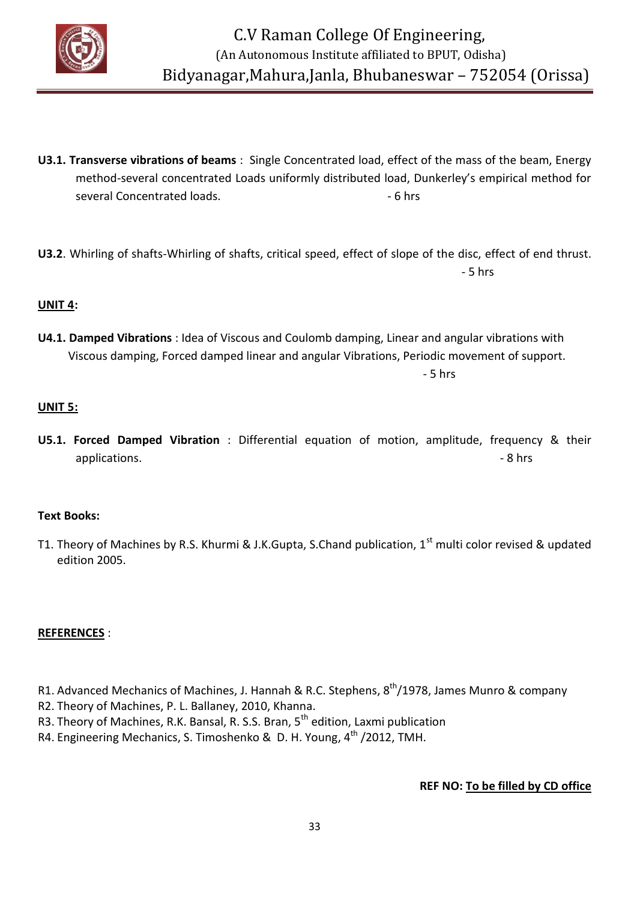

- **U3.1. Transverse vibrations of beams** : Single Concentrated load, effect of the mass of the beam, Energy method-several concentrated Loads uniformly distributed load, Dunkerley's empirical method for several Concentrated loads.  $\overline{\phantom{a}}$  - 6 hrs
- **U3.2**. Whirling of shafts-Whirling of shafts, critical speed, effect of slope of the disc, effect of end thrust. - 5 hrs

#### **UNIT 4:**

**U4.1. Damped Vibrations** : Idea of Viscous and Coulomb damping, Linear and angular vibrations with Viscous damping, Forced damped linear and angular Vibrations, Periodic movement of support. - 5 hrs

#### **UNIT 5:**

**U5.1. Forced Damped Vibration** : Differential equation of motion, amplitude, frequency & their applications. **Example 2** hrs

#### **Text Books:**

T1. Theory of Machines by R.S. Khurmi & J.K.Gupta, S.Chand publication, 1<sup>st</sup> multi color revised & updated edition 2005.

#### **REFERENCES** :

- R1. Advanced Mechanics of Machines, J. Hannah & R.C. Stephens, 8<sup>th</sup>/1978, James Munro & company
- R2. Theory of Machines, P. L. Ballaney, 2010, Khanna.
- R3. Theory of Machines, R.K. Bansal, R. S.S. Bran, 5<sup>th</sup> edition, Laxmi publication
- R4. Engineering Mechanics, S. Timoshenko & D. H. Young, 4<sup>th</sup> /2012, TMH.

#### **REF NO: To be filled by CD office**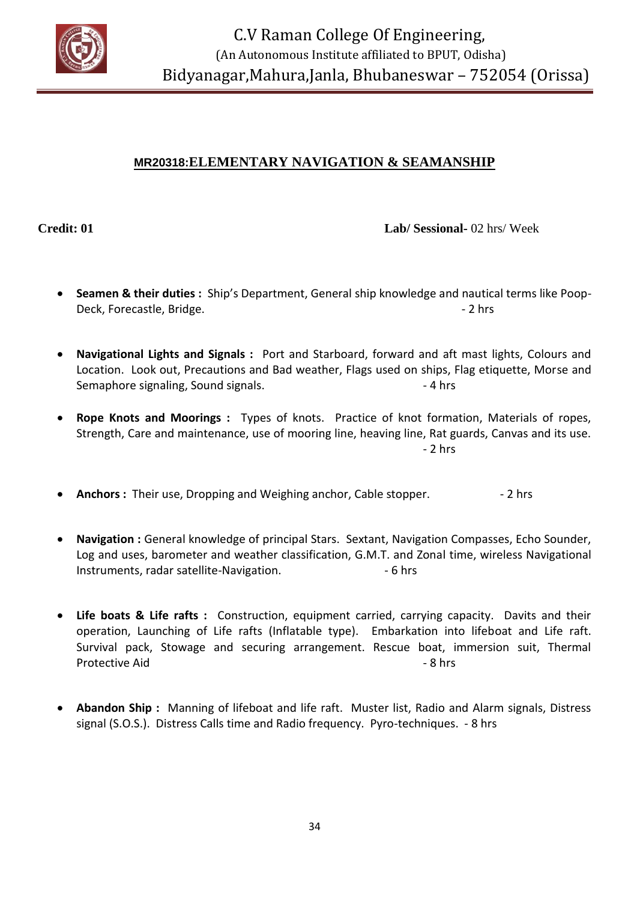

# **MR20318:ELEMENTARY NAVIGATION & SEAMANSHIP**

**Credit: 01 Lab/ Sessional-** 02 hrs/ Week

- **Seamen & their duties :** Ship's Department, General ship knowledge and nautical terms like Poop-Deck, Forecastle, Bridge.  $\blacksquare$
- **Navigational Lights and Signals :** Port and Starboard, forward and aft mast lights, Colours and Location. Look out, Precautions and Bad weather, Flags used on ships, Flag etiquette, Morse and Semaphore signaling, Sound signals. The same state of the set of the set of the set of the set of the set of the set of the set of the set of the set of the set of the set of the set of the set of the set of the set of the
- **Rope Knots and Moorings :** Types of knots. Practice of knot formation, Materials of ropes, Strength, Care and maintenance, use of mooring line, heaving line, Rat guards, Canvas and its use. - 2 hrs
- **Anchors :** Their use, Dropping and Weighing anchor, Cable stopper.  $\qquad 2$  hrs
- **Navigation :** General knowledge of principal Stars. Sextant, Navigation Compasses, Echo Sounder, Log and uses, barometer and weather classification, G.M.T. and Zonal time, wireless Navigational Instruments, radar satellite-Navigation. 4.6 hrs
- **Life boats & Life rafts :** Construction, equipment carried, carrying capacity. Davits and their operation, Launching of Life rafts (Inflatable type). Embarkation into lifeboat and Life raft. Survival pack, Stowage and securing arrangement. Rescue boat, immersion suit, Thermal Protective Aid - 8 hrs
- **Abandon Ship :** Manning of lifeboat and life raft. Muster list, Radio and Alarm signals, Distress signal (S.O.S.). Distress Calls time and Radio frequency. Pyro-techniques. - 8 hrs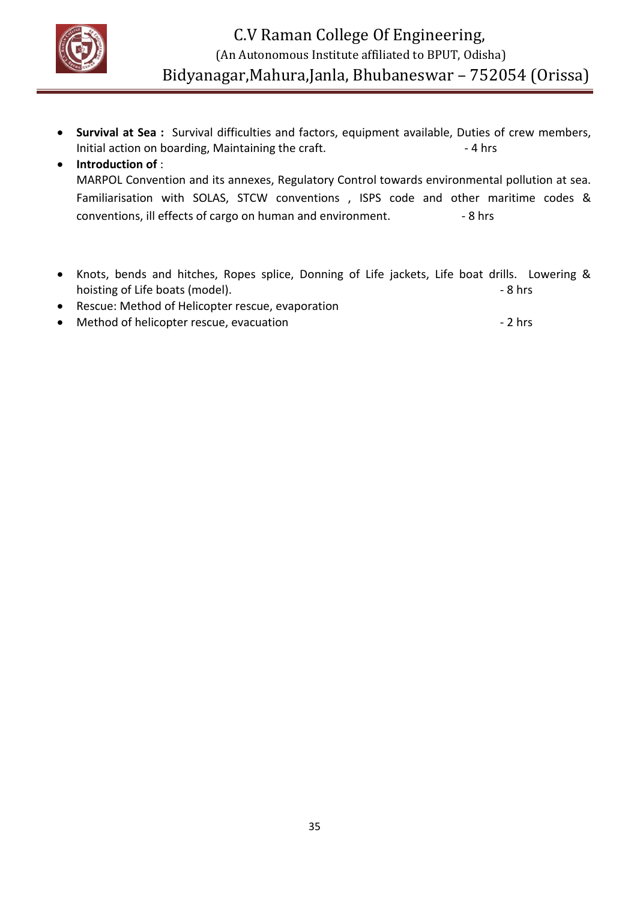

 **Survival at Sea :** Survival difficulties and factors, equipment available, Duties of crew members, Initial action on boarding, Maintaining the craft. 4 hrs

# **Introduction of** : MARPOL Convention and its annexes, Regulatory Control towards environmental pollution at sea. Familiarisation with SOLAS, STCW conventions , ISPS code and other maritime codes & conventions, ill effects of cargo on human and environment. - 8 hrs

- Knots, bends and hitches, Ropes splice, Donning of Life jackets, Life boat drills. Lowering & hoisting of Life boats (model).  $\overline{\phantom{a}}$  - 8 hrs
- Rescue: Method of Helicopter rescue, evaporation
- Method of helicopter rescue, evacuation example of the state of the 2 hrs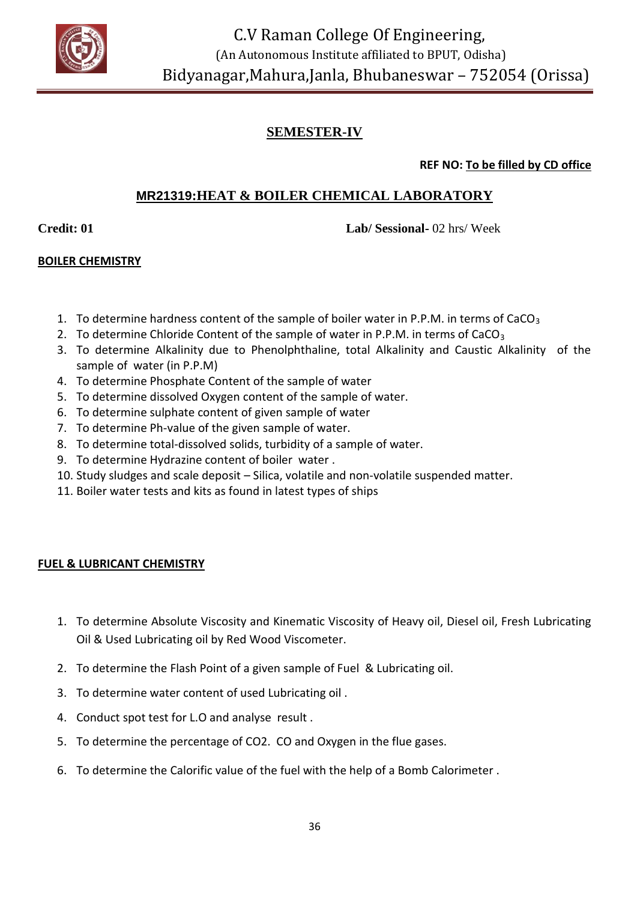

# **SEMESTER-IV**

**REF NO: To be filled by CD office**

# **MR21319:HEAT & BOILER CHEMICAL LABORATORY**

**Credit: 01 Lab/ Sessional-** 02 hrs/ Week

#### **BOILER CHEMISTRY**

- 1. To determine hardness content of the sample of boiler water in P.P.M. in terms of CaCO<sub>3</sub>
- 2. To determine Chloride Content of the sample of water in P.P.M. in terms of CaCO<sub>3</sub>
- 3. To determine Alkalinity due to Phenolphthaline, total Alkalinity and Caustic Alkalinity of the sample of water (in P.P.M)
- 4. To determine Phosphate Content of the sample of water
- 5. To determine dissolved Oxygen content of the sample of water.
- 6. To determine sulphate content of given sample of water
- 7. To determine Ph-value of the given sample of water.
- 8. To determine total-dissolved solids, turbidity of a sample of water.
- 9. To determine Hydrazine content of boiler water .
- 10. Study sludges and scale deposit Silica, volatile and non-volatile suspended matter.
- 11. Boiler water tests and kits as found in latest types of ships

#### **FUEL & LUBRICANT CHEMISTRY**

- 1. To determine Absolute Viscosity and Kinematic Viscosity of Heavy oil, Diesel oil, Fresh Lubricating Oil & Used Lubricating oil by Red Wood Viscometer.
- 2. To determine the Flash Point of a given sample of Fuel & Lubricating oil.
- 3. To determine water content of used Lubricating oil .
- 4. Conduct spot test for L.O and analyse result .
- 5. To determine the percentage of CO2. CO and Oxygen in the flue gases.
- 6. To determine the Calorific value of the fuel with the help of a Bomb Calorimeter .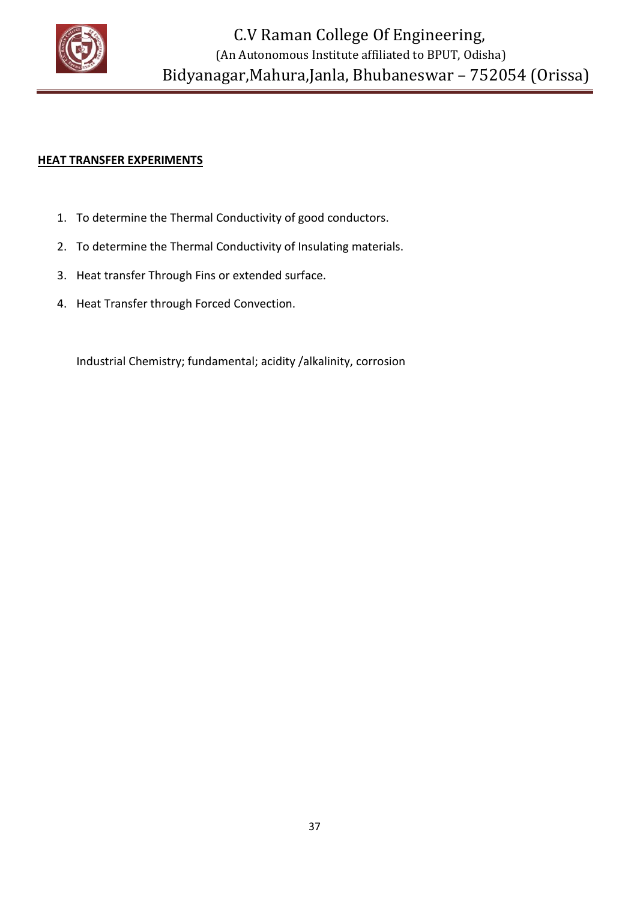

#### **HEAT TRANSFER EXPERIMENTS**

- 1. To determine the Thermal Conductivity of good conductors.
- 2. To determine the Thermal Conductivity of Insulating materials.
- 3. Heat transfer Through Fins or extended surface.
- 4. Heat Transfer through Forced Convection.

Industrial Chemistry; fundamental; acidity /alkalinity, corrosion